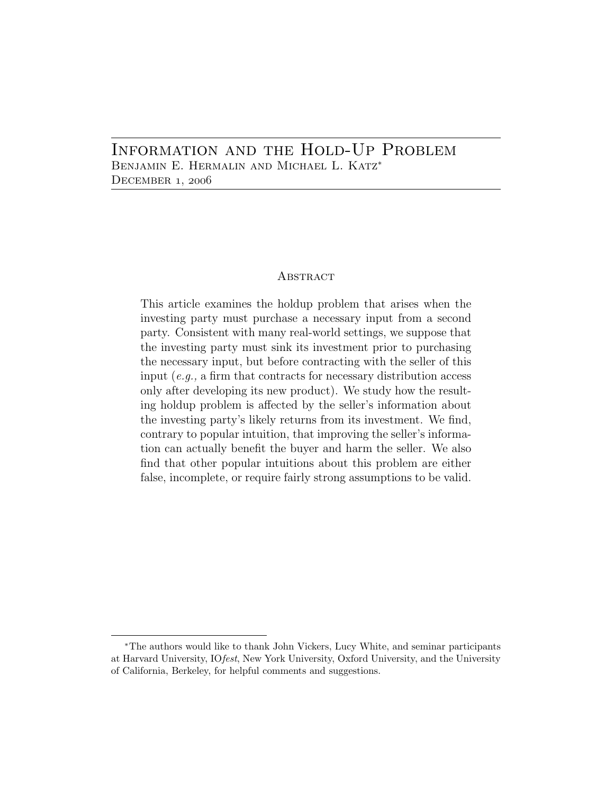### Information and the Hold-Up Problem Benjamin E. Hermalin and Michael L. Katz<sup>∗</sup> December 1, 2006

#### **ABSTRACT**

This article examines the holdup problem that arises when the investing party must purchase a necessary input from a second party. Consistent with many real-world settings, we suppose that the investing party must sink its investment prior to purchasing the necessary input, but before contracting with the seller of this input (*e.g.,* a firm that contracts for necessary distribution access only after developing its new product). We study how the resulting holdup problem is affected by the seller's information about the investing party's likely returns from its investment. We find, contrary to popular intuition, that improving the seller's information can actually benefit the buyer and harm the seller. We also find that other popular intuitions about this problem are either false, incomplete, or require fairly strong assumptions to be valid.

<sup>∗</sup>The authors would like to thank John Vickers, Lucy White, and seminar participants at Harvard University, IO*fest*, New York University, Oxford University, and the University of California, Berkeley, for helpful comments and suggestions.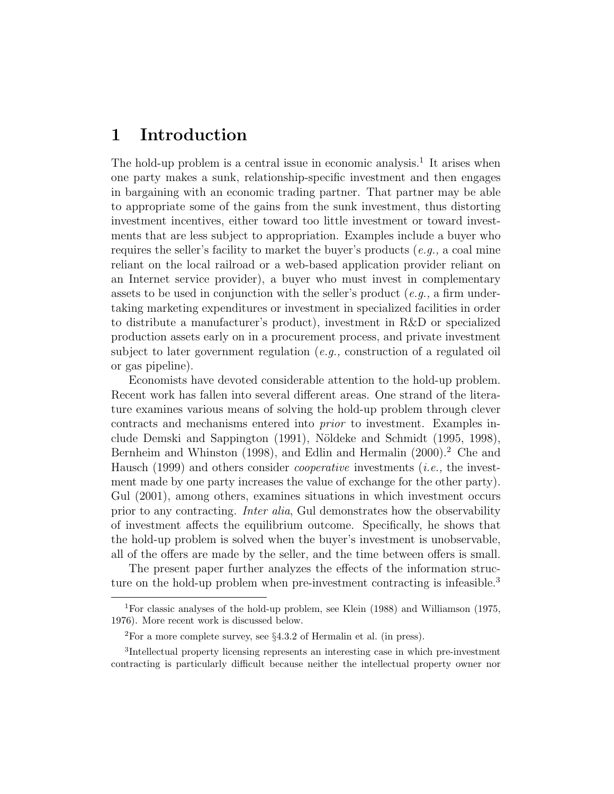# **1 Introduction**

The hold-up problem is a central issue in economic analysis.<sup>1</sup> It arises when one party makes a sunk, relationship-specific investment and then engages in bargaining with an economic trading partner. That partner may be able to appropriate some of the gains from the sunk investment, thus distorting investment incentives, either toward too little investment or toward investments that are less subject to appropriation. Examples include a buyer who requires the seller's facility to market the buyer's products (*e.g.,* a coal mine reliant on the local railroad or a web-based application provider reliant on an Internet service provider), a buyer who must invest in complementary assets to be used in conjunction with the seller's product (*e.g.,* a firm undertaking marketing expenditures or investment in specialized facilities in order to distribute a manufacturer's product), investment in R&D or specialized production assets early on in a procurement process, and private investment subject to later government regulation (*e.g.,* construction of a regulated oil or gas pipeline).

Economists have devoted considerable attention to the hold-up problem. Recent work has fallen into several different areas. One strand of the literature examines various means of solving the hold-up problem through clever contracts and mechanisms entered into *prior* to investment. Examples include Demski and Sappington (1991), Nöldeke and Schmidt (1995, 1998), Bernheim and Whinston (1998), and Edlin and Hermalin (2000).<sup>2</sup> Che and Hausch (1999) and others consider *cooperative* investments (*i.e.,* the investment made by one party increases the value of exchange for the other party). Gul (2001), among others, examines situations in which investment occurs prior to any contracting. *Inter alia*, Gul demonstrates how the observability of investment affects the equilibrium outcome. Specifically, he shows that the hold-up problem is solved when the buyer's investment is unobservable, all of the offers are made by the seller, and the time between offers is small.

The present paper further analyzes the effects of the information structure on the hold-up problem when pre-investment contracting is infeasible.<sup>3</sup>

<sup>1</sup>For classic analyses of the hold-up problem, see Klein (1988) and Williamson (1975, 1976). More recent work is discussed below.

<sup>2</sup>For a more complete survey, see §4.3.2 of Hermalin et al. (in press).

<sup>3</sup>Intellectual property licensing represents an interesting case in which pre-investment contracting is particularly difficult because neither the intellectual property owner nor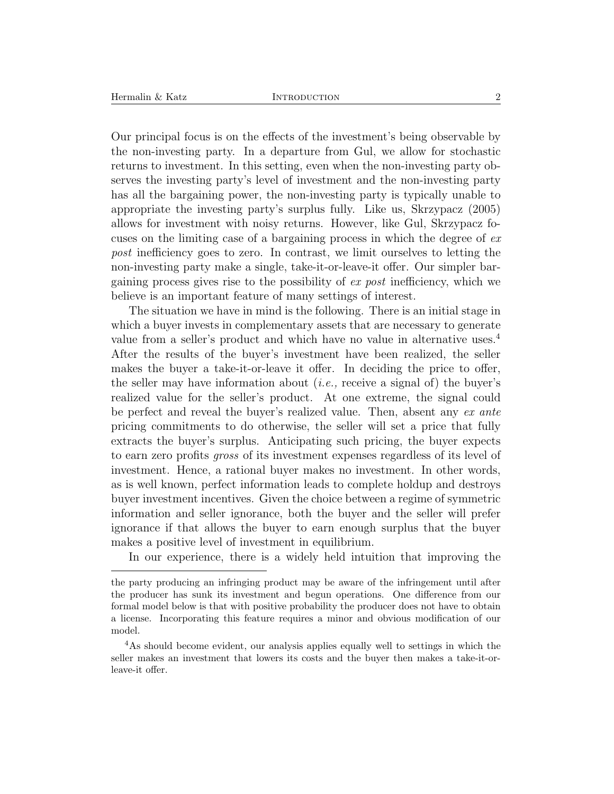Our principal focus is on the effects of the investment's being observable by the non-investing party. In a departure from Gul, we allow for stochastic returns to investment. In this setting, even when the non-investing party observes the investing party's level of investment and the non-investing party has all the bargaining power, the non-investing party is typically unable to appropriate the investing party's surplus fully. Like us, Skrzypacz (2005) allows for investment with noisy returns. However, like Gul, Skrzypacz focuses on the limiting case of a bargaining process in which the degree of *ex post* inefficiency goes to zero. In contrast, we limit ourselves to letting the non-investing party make a single, take-it-or-leave-it offer. Our simpler bargaining process gives rise to the possibility of *ex post* inefficiency, which we believe is an important feature of many settings of interest.

The situation we have in mind is the following. There is an initial stage in which a buyer invests in complementary assets that are necessary to generate value from a seller's product and which have no value in alternative uses.<sup>4</sup> After the results of the buyer's investment have been realized, the seller makes the buyer a take-it-or-leave it offer. In deciding the price to offer, the seller may have information about (*i.e.,* receive a signal of) the buyer's realized value for the seller's product. At one extreme, the signal could be perfect and reveal the buyer's realized value. Then, absent any *ex ante* pricing commitments to do otherwise, the seller will set a price that fully extracts the buyer's surplus. Anticipating such pricing, the buyer expects to earn zero profits *gross* of its investment expenses regardless of its level of investment. Hence, a rational buyer makes no investment. In other words, as is well known, perfect information leads to complete holdup and destroys buyer investment incentives. Given the choice between a regime of symmetric information and seller ignorance, both the buyer and the seller will prefer ignorance if that allows the buyer to earn enough surplus that the buyer makes a positive level of investment in equilibrium.

In our experience, there is a widely held intuition that improving the

the party producing an infringing product may be aware of the infringement until after the producer has sunk its investment and begun operations. One difference from our formal model below is that with positive probability the producer does not have to obtain a license. Incorporating this feature requires a minor and obvious modification of our model.

<sup>&</sup>lt;sup>4</sup>As should become evident, our analysis applies equally well to settings in which the seller makes an investment that lowers its costs and the buyer then makes a take-it-orleave-it offer.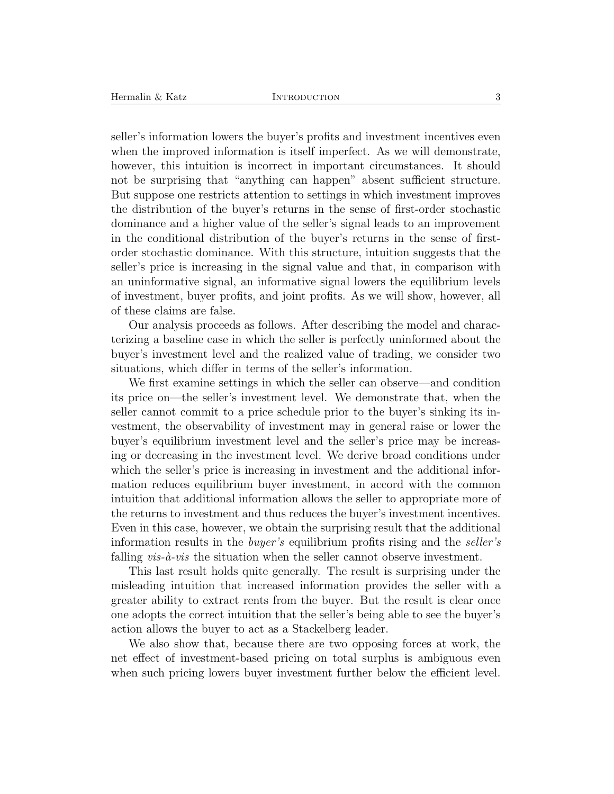seller's information lowers the buyer's profits and investment incentives even when the improved information is itself imperfect. As we will demonstrate, however, this intuition is incorrect in important circumstances. It should not be surprising that "anything can happen" absent sufficient structure. But suppose one restricts attention to settings in which investment improves the distribution of the buyer's returns in the sense of first-order stochastic dominance and a higher value of the seller's signal leads to an improvement in the conditional distribution of the buyer's returns in the sense of firstorder stochastic dominance. With this structure, intuition suggests that the seller's price is increasing in the signal value and that, in comparison with an uninformative signal, an informative signal lowers the equilibrium levels of investment, buyer profits, and joint profits. As we will show, however, all of these claims are false.

Our analysis proceeds as follows. After describing the model and characterizing a baseline case in which the seller is perfectly uninformed about the buyer's investment level and the realized value of trading, we consider two situations, which differ in terms of the seller's information.

We first examine settings in which the seller can observe—and condition its price on—the seller's investment level. We demonstrate that, when the seller cannot commit to a price schedule prior to the buyer's sinking its investment, the observability of investment may in general raise or lower the buyer's equilibrium investment level and the seller's price may be increasing or decreasing in the investment level. We derive broad conditions under which the seller's price is increasing in investment and the additional information reduces equilibrium buyer investment, in accord with the common intuition that additional information allows the seller to appropriate more of the returns to investment and thus reduces the buyer's investment incentives. Even in this case, however, we obtain the surprising result that the additional information results in the *buyer's* equilibrium profits rising and the *seller's* falling *vis-à-vis* the situation when the seller cannot observe investment.

This last result holds quite generally. The result is surprising under the misleading intuition that increased information provides the seller with a greater ability to extract rents from the buyer. But the result is clear once one adopts the correct intuition that the seller's being able to see the buyer's action allows the buyer to act as a Stackelberg leader.

We also show that, because there are two opposing forces at work, the net effect of investment-based pricing on total surplus is ambiguous even when such pricing lowers buyer investment further below the efficient level.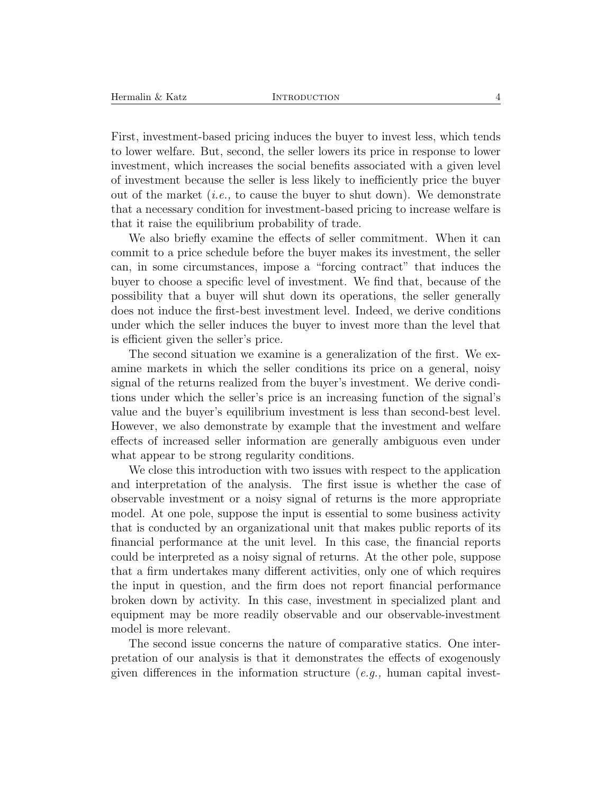First, investment-based pricing induces the buyer to invest less, which tends to lower welfare. But, second, the seller lowers its price in response to lower investment, which increases the social benefits associated with a given level of investment because the seller is less likely to inefficiently price the buyer out of the market (*i.e.,* to cause the buyer to shut down). We demonstrate that a necessary condition for investment-based pricing to increase welfare is that it raise the equilibrium probability of trade.

We also briefly examine the effects of seller commitment. When it can commit to a price schedule before the buyer makes its investment, the seller can, in some circumstances, impose a "forcing contract" that induces the buyer to choose a specific level of investment. We find that, because of the possibility that a buyer will shut down its operations, the seller generally does not induce the first-best investment level. Indeed, we derive conditions under which the seller induces the buyer to invest more than the level that is efficient given the seller's price.

The second situation we examine is a generalization of the first. We examine markets in which the seller conditions its price on a general, noisy signal of the returns realized from the buyer's investment. We derive conditions under which the seller's price is an increasing function of the signal's value and the buyer's equilibrium investment is less than second-best level. However, we also demonstrate by example that the investment and welfare effects of increased seller information are generally ambiguous even under what appear to be strong regularity conditions.

We close this introduction with two issues with respect to the application and interpretation of the analysis. The first issue is whether the case of observable investment or a noisy signal of returns is the more appropriate model. At one pole, suppose the input is essential to some business activity that is conducted by an organizational unit that makes public reports of its financial performance at the unit level. In this case, the financial reports could be interpreted as a noisy signal of returns. At the other pole, suppose that a firm undertakes many different activities, only one of which requires the input in question, and the firm does not report financial performance broken down by activity. In this case, investment in specialized plant and equipment may be more readily observable and our observable-investment model is more relevant.

The second issue concerns the nature of comparative statics. One interpretation of our analysis is that it demonstrates the effects of exogenously given differences in the information structure (*e.g.,* human capital invest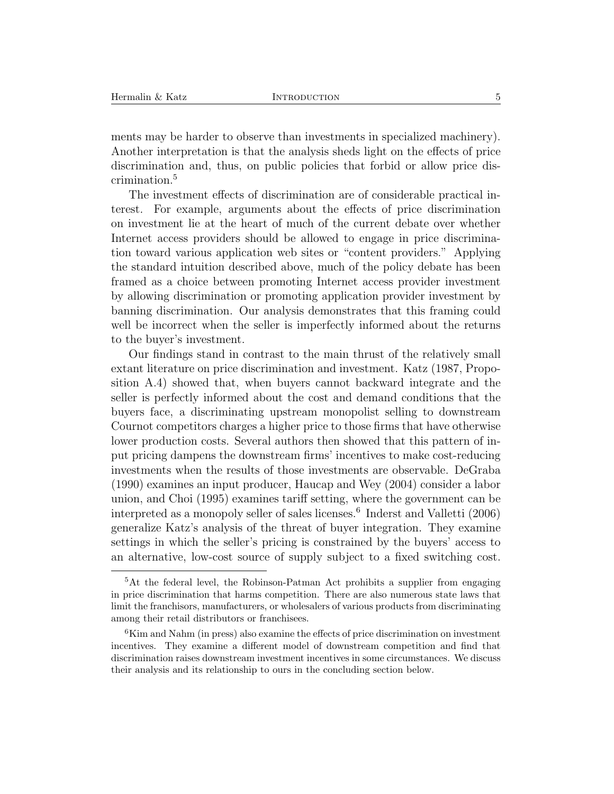ments may be harder to observe than investments in specialized machinery). Another interpretation is that the analysis sheds light on the effects of price discrimination and, thus, on public policies that forbid or allow price discrimination.<sup>5</sup>

The investment effects of discrimination are of considerable practical interest. For example, arguments about the effects of price discrimination on investment lie at the heart of much of the current debate over whether Internet access providers should be allowed to engage in price discrimination toward various application web sites or "content providers." Applying the standard intuition described above, much of the policy debate has been framed as a choice between promoting Internet access provider investment by allowing discrimination or promoting application provider investment by banning discrimination. Our analysis demonstrates that this framing could well be incorrect when the seller is imperfectly informed about the returns to the buyer's investment.

Our findings stand in contrast to the main thrust of the relatively small extant literature on price discrimination and investment. Katz (1987, Proposition A.4) showed that, when buyers cannot backward integrate and the seller is perfectly informed about the cost and demand conditions that the buyers face, a discriminating upstream monopolist selling to downstream Cournot competitors charges a higher price to those firms that have otherwise lower production costs. Several authors then showed that this pattern of input pricing dampens the downstream firms' incentives to make cost-reducing investments when the results of those investments are observable. DeGraba (1990) examines an input producer, Haucap and Wey (2004) consider a labor union, and Choi (1995) examines tariff setting, where the government can be interpreted as a monopoly seller of sales licenses.<sup>6</sup> Inderst and Valletti  $(2006)$ generalize Katz's analysis of the threat of buyer integration. They examine settings in which the seller's pricing is constrained by the buyers' access to an alternative, low-cost source of supply subject to a fixed switching cost.

<sup>5</sup>At the federal level, the Robinson-Patman Act prohibits a supplier from engaging in price discrimination that harms competition. There are also numerous state laws that limit the franchisors, manufacturers, or wholesalers of various products from discriminating among their retail distributors or franchisees.

 ${}^{6}$ Kim and Nahm (in press) also examine the effects of price discrimination on investment incentives. They examine a different model of downstream competition and find that discrimination raises downstream investment incentives in some circumstances. We discuss their analysis and its relationship to ours in the concluding section below.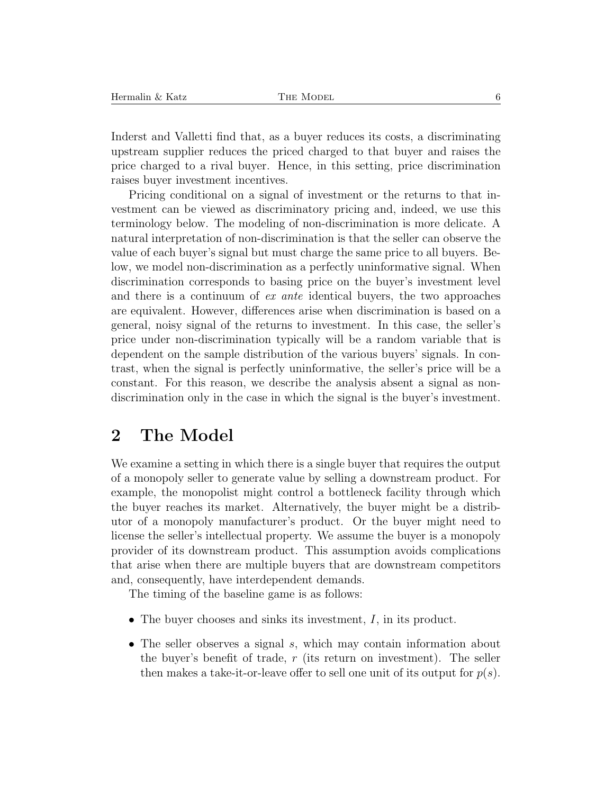Inderst and Valletti find that, as a buyer reduces its costs, a discriminating upstream supplier reduces the priced charged to that buyer and raises the price charged to a rival buyer. Hence, in this setting, price discrimination raises buyer investment incentives.

Pricing conditional on a signal of investment or the returns to that investment can be viewed as discriminatory pricing and, indeed, we use this terminology below. The modeling of non-discrimination is more delicate. A natural interpretation of non-discrimination is that the seller can observe the value of each buyer's signal but must charge the same price to all buyers. Below, we model non-discrimination as a perfectly uninformative signal. When discrimination corresponds to basing price on the buyer's investment level and there is a continuum of *ex ante* identical buyers, the two approaches are equivalent. However, differences arise when discrimination is based on a general, noisy signal of the returns to investment. In this case, the seller's price under non-discrimination typically will be a random variable that is dependent on the sample distribution of the various buyers' signals. In contrast, when the signal is perfectly uninformative, the seller's price will be a constant. For this reason, we describe the analysis absent a signal as nondiscrimination only in the case in which the signal is the buyer's investment.

### **2 The Model**

We examine a setting in which there is a single buyer that requires the output of a monopoly seller to generate value by selling a downstream product. For example, the monopolist might control a bottleneck facility through which the buyer reaches its market. Alternatively, the buyer might be a distributor of a monopoly manufacturer's product. Or the buyer might need to license the seller's intellectual property. We assume the buyer is a monopoly provider of its downstream product. This assumption avoids complications that arise when there are multiple buyers that are downstream competitors and, consequently, have interdependent demands.

The timing of the baseline game is as follows:

- The buyer chooses and sinks its investment,  $I$ , in its product.
- The seller observes a signal s, which may contain information about the buyer's benefit of trade,  $r$  (its return on investment). The seller then makes a take-it-or-leave offer to sell one unit of its output for  $p(s)$ .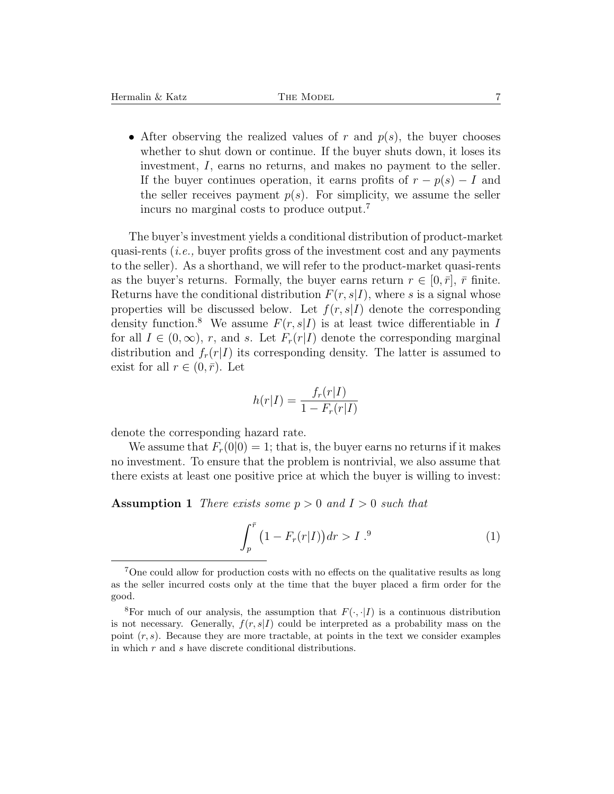• After observing the realized values of r and  $p(s)$ , the buyer chooses whether to shut down or continue. If the buyer shuts down, it loses its investment, I, earns no returns, and makes no payment to the seller. If the buyer continues operation, it earns profits of  $r - p(s) - I$  and the seller receives payment  $p(s)$ . For simplicity, we assume the seller incurs no marginal costs to produce output.<sup>7</sup>

The buyer's investment yields a conditional distribution of product-market quasi-rents (*i.e.,* buyer profits gross of the investment cost and any payments to the seller). As a shorthand, we will refer to the product-market quasi-rents as the buyer's returns. Formally, the buyer earns return  $r \in [0, \bar{r}], \bar{r}$  finite. Returns have the conditional distribution  $F(r, s|I)$ , where s is a signal whose properties will be discussed below. Let  $f(r, s|I)$  denote the corresponding density function.<sup>8</sup> We assume  $F(r, s|I)$  is at least twice differentiable in I for all  $I \in (0,\infty)$ , r, and s. Let  $F_r(r|I)$  denote the corresponding marginal distribution and  $f_r(r|I)$  its corresponding density. The latter is assumed to exist for all  $r \in (0, \bar{r})$ . Let

$$
h(r|I) = \frac{f_r(r|I)}{1 - F_r(r|I)}
$$

denote the corresponding hazard rate.

We assume that  $F_r(0|0) = 1$ ; that is, the buyer earns no returns if it makes no investment. To ensure that the problem is nontrivial, we also assume that there exists at least one positive price at which the buyer is willing to invest:

**Assumption 1** *There exists some* p > 0 *and* I > 0 *such that*

$$
\int_{p}^{\bar{r}} \left(1 - F_{r}(r|I)\right) dr > I^{.9} \tag{1}
$$

<sup>7</sup>One could allow for production costs with no effects on the qualitative results as long as the seller incurred costs only at the time that the buyer placed a firm order for the good.

<sup>&</sup>lt;sup>8</sup>For much of our analysis, the assumption that  $F(\cdot, \cdot | I)$  is a continuous distribution is not necessary. Generally,  $f(r, s|I)$  could be interpreted as a probability mass on the point  $(r, s)$ . Because they are more tractable, at points in the text we consider examples in which r and s have discrete conditional distributions.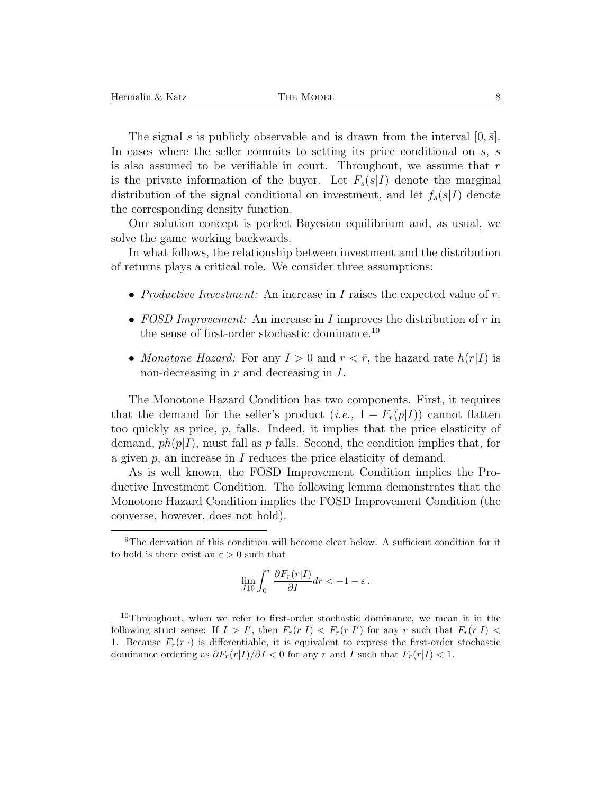The signal s is publicly observable and is drawn from the interval  $[0, \bar{s}]$ . In cases where the seller commits to setting its price conditional on s, s is also assumed to be verifiable in court. Throughout, we assume that  $r$ is the private information of the buyer. Let  $F_s(s|I)$  denote the marginal distribution of the signal conditional on investment, and let  $f_s(s|I)$  denote the corresponding density function.

Our solution concept is perfect Bayesian equilibrium and, as usual, we solve the game working backwards.

In what follows, the relationship between investment and the distribution of returns plays a critical role. We consider three assumptions:

- *Productive Investment:* An increase in I raises the expected value of r.
- *FOSD Improvement:* An increase in I improves the distribution of r in the sense of first-order stochastic dominance.<sup>10</sup>
- *Monotone Hazard:* For any  $I > 0$  and  $r < \bar{r}$ , the hazard rate  $h(r|I)$  is non-decreasing in  $r$  and decreasing in  $I$ .

The Monotone Hazard Condition has two components. First, it requires that the demand for the seller's product  $(i.e., 1 - F_r(p|I))$  cannot flatten too quickly as price, p, falls. Indeed, it implies that the price elasticity of demand,  $ph(p|I)$ , must fall as p falls. Second, the condition implies that, for a given  $p$ , an increase in  $I$  reduces the price elasticity of demand.

As is well known, the FOSD Improvement Condition implies the Productive Investment Condition. The following lemma demonstrates that the Monotone Hazard Condition implies the FOSD Improvement Condition (the converse, however, does not hold).

$$
\lim_{I\downarrow 0} \int_0^{\bar r} \frac{\partial F_r(r|I)}{\partial I} dr < -1-\varepsilon\,.
$$

<sup>9</sup>The derivation of this condition will become clear below. A sufficient condition for it to hold is there exist an  $\varepsilon > 0$  such that

<sup>&</sup>lt;sup>10</sup>Throughout, when we refer to first-order stochastic dominance, we mean it in the following strict sense: If  $I > I'$ , then  $F_r(r|I) < F_r(r|I')$  for any r such that  $F_r(r|I)$ 1. Because  $F_r(r|\cdot)$  is differentiable, it is equivalent to express the first-order stochastic dominance ordering as  $\partial F_r(r|I)/\partial I < 0$  for any r and I such that  $F_r(r|I) < 1$ .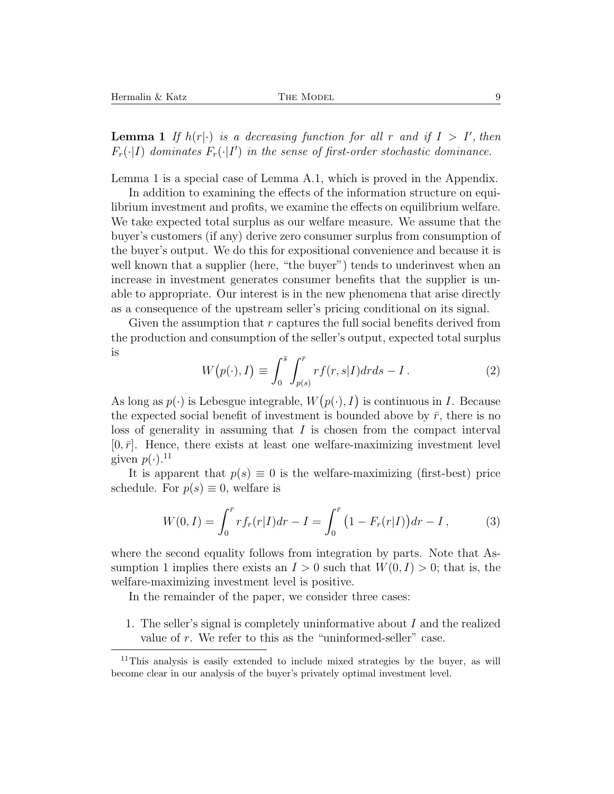**Lemma 1** If  $h(r|\cdot)$  is a decreasing function for all r and if  $I > I'$ , then  $F_r(\cdot|I)$  *dominates*  $F_r(\cdot|I')$  *in the sense of first-order stochastic dominance.* 

Lemma 1 is a special case of Lemma A.1, which is proved in the Appendix.

In addition to examining the effects of the information structure on equilibrium investment and profits, we examine the effects on equilibrium welfare. We take expected total surplus as our welfare measure. We assume that the buyer's customers (if any) derive zero consumer surplus from consumption of the buyer's output. We do this for expositional convenience and because it is well known that a supplier (here, "the buyer") tends to underinvest when an increase in investment generates consumer benefits that the supplier is unable to appropriate. Our interest is in the new phenomena that arise directly as a consequence of the upstream seller's pricing conditional on its signal.

Given the assumption that  $r$  captures the full social benefits derived from the production and consumption of the seller's output, expected total surplus is

$$
W(p(\cdot), I) \equiv \int_0^{\bar{s}} \int_{p(s)}^{\bar{r}} rf(r, s|I) dr ds - I.
$$
 (2)

As long as  $p(\cdot)$  is Lebesgue integrable,  $W(p(\cdot), I)$  is continuous in I. Because the expected social benefit of investment is bounded above by  $\bar{r}$ , there is no loss of generality in assuming that  $I$  is chosen from the compact interval  $[0, \bar{r}]$ . Hence, there exists at least one welfare-maximizing investment level given  $p(\cdot)$ .<sup>11</sup>

It is apparent that  $p(s) \equiv 0$  is the welfare-maximizing (first-best) price schedule. For  $p(s) \equiv 0$ , welfare is

$$
W(0,I) = \int_0^{\bar{r}} r f_r(r|I) dr - I = \int_0^{\bar{r}} \left(1 - F_r(r|I)\right) dr - I\,,\tag{3}
$$

where the second equality follows from integration by parts. Note that Assumption 1 implies there exists an  $I > 0$  such that  $W(0, I) > 0$ ; that is, the welfare-maximizing investment level is positive.

In the remainder of the paper, we consider three cases:

1. The seller's signal is completely uninformative about I and the realized value of  $r$ . We refer to this as the "uninformed-seller" case.

<sup>&</sup>lt;sup>11</sup>This analysis is easily extended to include mixed strategies by the buyer, as will become clear in our analysis of the buyer's privately optimal investment level.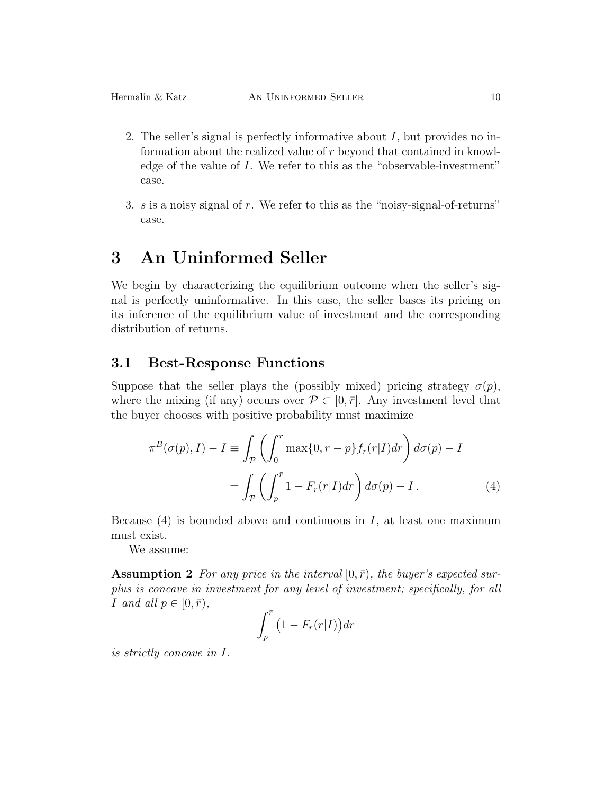- 2. The seller's signal is perfectly informative about  $I$ , but provides no information about the realized value of r beyond that contained in knowledge of the value of I. We refer to this as the "observable-investment" case.
- 3. s is a noisy signal of r. We refer to this as the "noisy-signal-of-returns" case.

# **3 An Uninformed Seller**

We begin by characterizing the equilibrium outcome when the seller's signal is perfectly uninformative. In this case, the seller bases its pricing on its inference of the equilibrium value of investment and the corresponding distribution of returns.

#### **3.1 Best-Response Functions**

Suppose that the seller plays the (possibly mixed) pricing strategy  $\sigma(p)$ , where the mixing (if any) occurs over  $\mathcal{P} \subset [0, \bar{r}]$ . Any investment level that the buyer chooses with positive probability must maximize

$$
\pi^{B}(\sigma(p), I) - I \equiv \int_{\mathcal{P}} \left( \int_{0}^{\bar{r}} \max\{0, r - p\} f_{r}(r|I) dr \right) d\sigma(p) - I
$$

$$
= \int_{\mathcal{P}} \left( \int_{p}^{\bar{r}} 1 - F_{r}(r|I) dr \right) d\sigma(p) - I. \tag{4}
$$

Because  $(4)$  is bounded above and continuous in I, at least one maximum must exist.

We assume:

**Assumption 2** For any price in the interval  $[0, \bar{r})$ , the buyer's expected sur*plus is concave in investment for any level of investment; specifically, for all* I and all  $p \in [0, \bar{r})$ ,

$$
\int_p^{\bar{r}} \left(1 - F_r(r|I)\right) dr
$$

*is strictly concave in* I*.*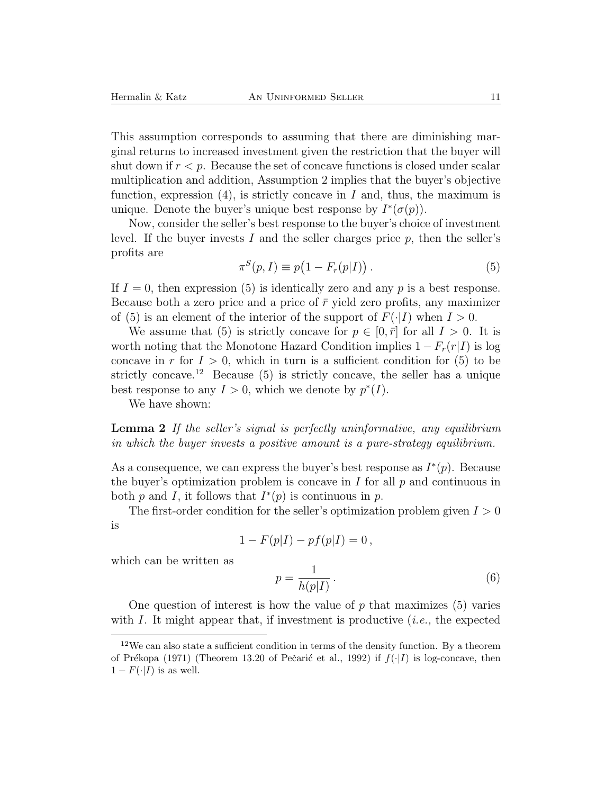This assumption corresponds to assuming that there are diminishing marginal returns to increased investment given the restriction that the buyer will shut down if  $r < p$ . Because the set of concave functions is closed under scalar multiplication and addition, Assumption 2 implies that the buyer's objective function, expression  $(4)$ , is strictly concave in I and, thus, the maximum is unique. Denote the buyer's unique best response by  $I^*(\sigma(p))$ .

Now, consider the seller's best response to the buyer's choice of investment level. If the buyer invests I and the seller charges price  $p$ , then the seller's profits are

$$
\pi^{S}(p, I) \equiv p\big(1 - F_r(p|I)\big). \tag{5}
$$

If  $I = 0$ , then expression (5) is identically zero and any p is a best response. Because both a zero price and a price of  $\bar{r}$  yield zero profits, any maximizer of (5) is an element of the interior of the support of  $F(\cdot|I)$  when  $I > 0$ .

We assume that (5) is strictly concave for  $p \in [0, \bar{r}]$  for all  $I > 0$ . It is worth noting that the Monotone Hazard Condition implies  $1 - F_r(r|I)$  is log concave in r for  $I > 0$ , which in turn is a sufficient condition for (5) to be strictly concave.<sup>12</sup> Because (5) is strictly concave, the seller has a unique best response to any  $I > 0$ , which we denote by  $p^*(I)$ .

We have shown:

**Lemma 2** *If the seller's signal is perfectly uninformative, any equilibrium in which the buyer invests a positive amount is a pure-strategy equilibrium.*

As a consequence, we can express the buyer's best response as  $I^*(p)$ . Because the buyer's optimization problem is concave in  $I$  for all  $p$  and continuous in both p and I, it follows that  $I^*(p)$  is continuous in p.

The first-order condition for the seller's optimization problem given  $I > 0$ is

$$
1 - F(p|I) - pf(p|I) = 0,
$$

which can be written as

$$
p = \frac{1}{h(p|I)}.\t(6)
$$

One question of interest is how the value of  $p$  that maximizes  $(5)$  varies with I. It might appear that, if investment is productive (*i.e.,* the expected

 $12$ We can also state a sufficient condition in terms of the density function. By a theorem of Prékopa (1971) (Theorem 13.20 of Pečarić et al., 1992) if  $f(\cdot|I)$  is log-concave, then  $1-F(\cdot|I)$  is as well.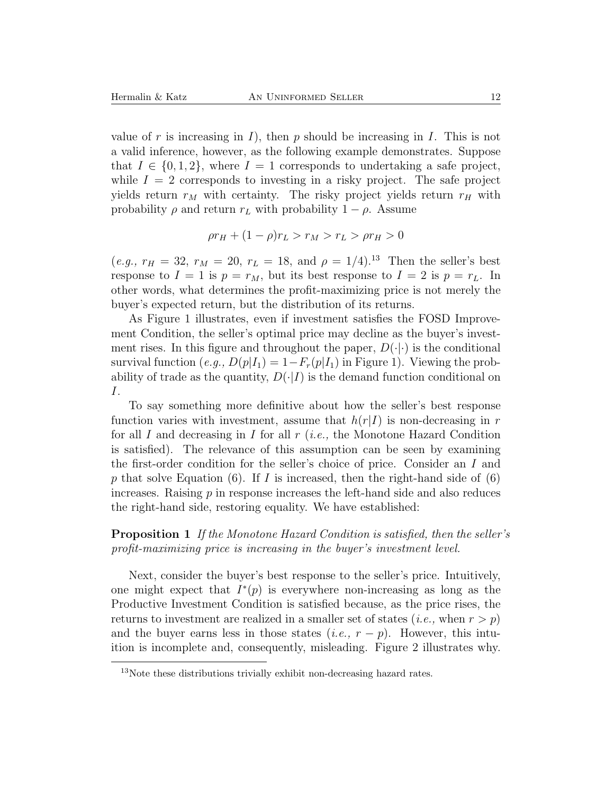value of r is increasing in I, then p should be increasing in I. This is not a valid inference, however, as the following example demonstrates. Suppose that  $I \in \{0, 1, 2\}$ , where  $I = 1$  corresponds to undertaking a safe project, while  $I = 2$  corresponds to investing in a risky project. The safe project yields return  $r_M$  with certainty. The risky project yields return  $r_H$  with probability  $\rho$  and return  $r_L$  with probability  $1 - \rho$ . Assume

$$
\rho r_H + (1 - \rho)r_L > r_M > r_L > \rho r_H > 0
$$

(*e.g.,*  $r_H = 32$ ,  $r_M = 20$ ,  $r_L = 18$ , and  $\rho = 1/4$ ).<sup>13</sup> Then the seller's best response to  $I = 1$  is  $p = r_M$ , but its best response to  $I = 2$  is  $p = r_L$ . In other words, what determines the profit-maximizing price is not merely the buyer's expected return, but the distribution of its returns.

As Figure 1 illustrates, even if investment satisfies the FOSD Improvement Condition, the seller's optimal price may decline as the buyer's investment rises. In this figure and throughout the paper,  $D(\cdot|\cdot)$  is the conditional survival function  $(e.g., D(p|I_1)=1-F_r(p|I_1)$  in Figure 1). Viewing the probability of trade as the quantity,  $D(\cdot|I)$  is the demand function conditional on I.

To say something more definitive about how the seller's best response function varies with investment, assume that  $h(r|I)$  is non-decreasing in r for all I and decreasing in I for all r (*i.e.,* the Monotone Hazard Condition is satisfied). The relevance of this assumption can be seen by examining the first-order condition for the seller's choice of price. Consider an I and p that solve Equation (6). If I is increased, then the right-hand side of  $(6)$ increases. Raising  $p$  in response increases the left-hand side and also reduces the right-hand side, restoring equality. We have established:

#### **Proposition 1** *If the Monotone Hazard Condition is satisfied, then the seller's profit-maximizing price is increasing in the buyer's investment level.*

Next, consider the buyer's best response to the seller's price. Intuitively, one might expect that  $I^*(p)$  is everywhere non-increasing as long as the Productive Investment Condition is satisfied because, as the price rises, the returns to investment are realized in a smaller set of states  $(i.e., when r > p)$ and the buyer earns less in those states  $(i.e., r - p)$ . However, this intuition is incomplete and, consequently, misleading. Figure 2 illustrates why.

<sup>13</sup>Note these distributions trivially exhibit non-decreasing hazard rates.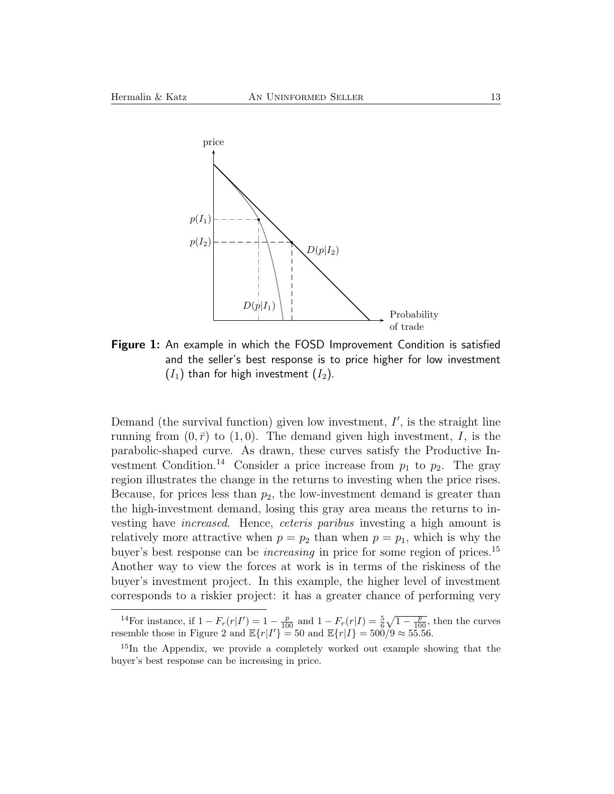

**Figure 1:** An example in which the FOSD Improvement Condition is satisfied and the seller's best response is to price higher for low investment  $(I_1)$  than for high investment  $(I_2)$ .

Demand (the survival function) given low investment,  $I'$ , is the straight line running from  $(0, \bar{r})$  to  $(1, 0)$ . The demand given high investment, I, is the parabolic-shaped curve. As drawn, these curves satisfy the Productive Investment Condition.<sup>14</sup> Consider a price increase from  $p_1$  to  $p_2$ . The gray region illustrates the change in the returns to investing when the price rises. Because, for prices less than  $p_2$ , the low-investment demand is greater than the high-investment demand, losing this gray area means the returns to investing have *increased*. Hence, *ceteris paribus* investing a high amount is relatively more attractive when  $p = p_2$  than when  $p = p_1$ , which is why the buyer's best response can be *increasing* in price for some region of prices.<sup>15</sup> Another way to view the forces at work is in terms of the riskiness of the buyer's investment project. In this example, the higher level of investment corresponds to a riskier project: it has a greater chance of performing very

<sup>14</sup>For instance, if  $1 - F_r(r|I') = 1 - \frac{p}{100}$  and  $1 - F_r(r|I) = \frac{5}{6}\sqrt{1 - \frac{p}{100}}$ , then the curves resemble those in Figure 2 and  $\mathbb{E}\{r|I'\}=50$  and  $\mathbb{E}\{r|I\}=500/9\approx 55.56$ .

<sup>&</sup>lt;sup>15</sup>In the Appendix, we provide a completely worked out example showing that the buyer's best response can be increasing in price.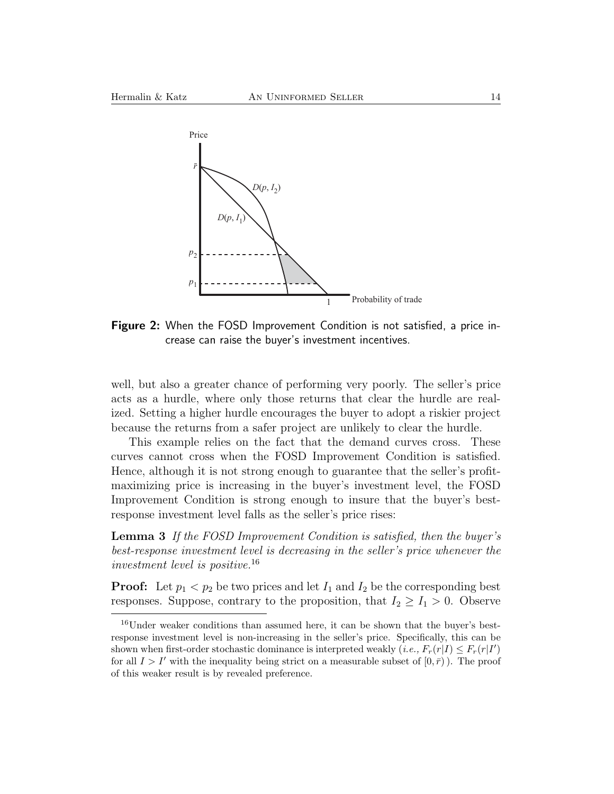

**Figure 2:** When the FOSD Improvement Condition is not satisfied, a price increase can raise the buyer's investment incentives.

well, but also a greater chance of performing very poorly. The seller's price acts as a hurdle, where only those returns that clear the hurdle are realized. Setting a higher hurdle encourages the buyer to adopt a riskier project because the returns from a safer project are unlikely to clear the hurdle.

This example relies on the fact that the demand curves cross. These curves cannot cross when the FOSD Improvement Condition is satisfied. Hence, although it is not strong enough to guarantee that the seller's profitmaximizing price is increasing in the buyer's investment level, the FOSD Improvement Condition is strong enough to insure that the buyer's bestresponse investment level falls as the seller's price rises:

**Lemma 3** *If the FOSD Improvement Condition is satisfied, then the buyer's best-response investment level is decreasing in the seller's price whenever the investment level is positive.*<sup>16</sup>

**Proof:** Let  $p_1 < p_2$  be two prices and let  $I_1$  and  $I_2$  be the corresponding best responses. Suppose, contrary to the proposition, that  $I_2 \geq I_1 > 0$ . Observe

<sup>&</sup>lt;sup>16</sup>Under weaker conditions than assumed here, it can be shown that the buyer's bestresponse investment level is non-increasing in the seller's price. Specifically, this can be shown when first-order stochastic dominance is interpreted weakly  $(i.e., F_r(r|I) \leq F_r(r|I')$ <br>for all  $I > I'$  with the inequality being strict on a measurable subset of  $[0, \bar{r})$ ). The proof for all  $I > I'$  with the inequality being strict on a measurable subset of  $[0, \bar{r})$ ). The proof of this weaker result is by revealed preference.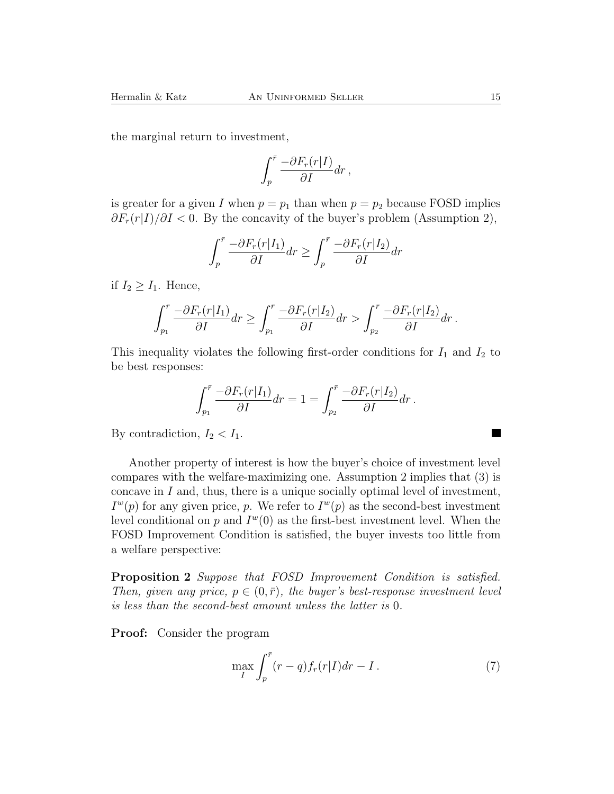the marginal return to investment,

$$
\int_p^{\bar r}\frac{-\partial F_r(r|I)}{\partial I}dr\,,
$$

is greater for a given I when  $p = p_1$  than when  $p = p_2$  because FOSD implies  $\partial F_r(r|I)/\partial I$  < 0. By the concavity of the buyer's problem (Assumption 2),

$$
\int_{p}^{\bar{r}} \frac{-\partial F_r(r|I_1)}{\partial I} dr \ge \int_{p}^{\bar{r}} \frac{-\partial F_r(r|I_2)}{\partial I} dr
$$

if  $I_2 \geq I_1$ . Hence,

$$
\int_{p_1}^{\bar{r}} \frac{-\partial F_r(r|I_1)}{\partial I} dr \ge \int_{p_1}^{\bar{r}} \frac{-\partial F_r(r|I_2)}{\partial I} dr > \int_{p_2}^{\bar{r}} \frac{-\partial F_r(r|I_2)}{\partial I} dr.
$$

This inequality violates the following first-order conditions for  $I_1$  and  $I_2$  to be best responses:

$$
\int_{p_1}^{\bar{r}} \frac{-\partial F_r(r|I_1)}{\partial I} dr = 1 = \int_{p_2}^{\bar{r}} \frac{-\partial F_r(r|I_2)}{\partial I} dr.
$$

By contradiction,  $I_2 < I_1$ .

Another property of interest is how the buyer's choice of investment level compares with the welfare-maximizing one. Assumption 2 implies that (3) is concave in  $I$  and, thus, there is a unique socially optimal level of investment,  $I^w(p)$  for any given price, p. We refer to  $I^w(p)$  as the second-best investment level conditional on p and  $I^w(0)$  as the first-best investment level. When the FOSD Improvement Condition is satisfied, the buyer invests too little from a welfare perspective:

**Proposition 2** *Suppose that FOSD Improvement Condition is satisfied. Then, given any price,*  $p \in (0, \bar{r})$ *, the buyer's best-response investment level is less than the second-best amount unless the latter is* 0*.*

**Proof:** Consider the program

$$
\max_{I} \int_{p}^{\bar{r}} (r-q)f_r(r|I)dr - I.
$$
 (7)

ш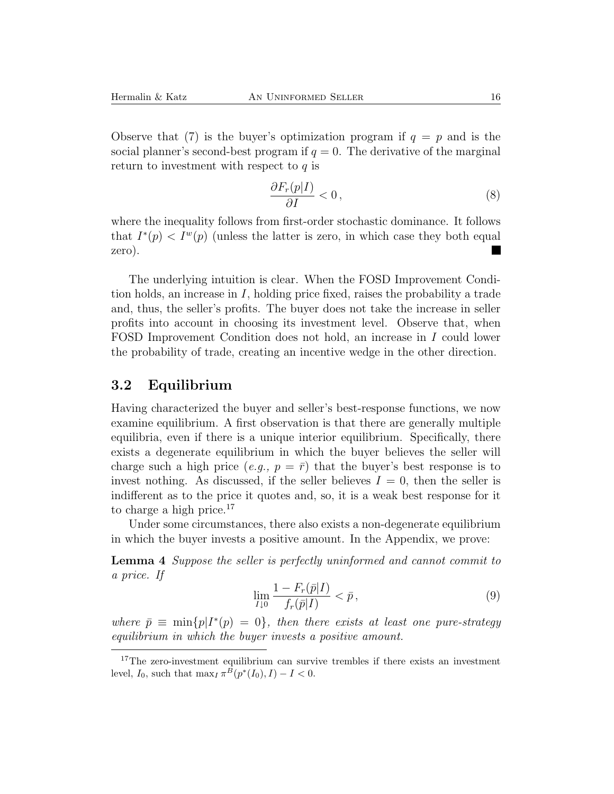Observe that (7) is the buyer's optimization program if  $q = p$  and is the social planner's second-best program if  $q = 0$ . The derivative of the marginal return to investment with respect to  $q$  is

$$
\frac{\partial F_r(p|I)}{\partial I} < 0\,,\tag{8}
$$

where the inequality follows from first-order stochastic dominance. It follows that  $I^*(p) < I^w(p)$  (unless the latter is zero, in which case they both equal zero).

The underlying intuition is clear. When the FOSD Improvement Condition holds, an increase in I, holding price fixed, raises the probability a trade and, thus, the seller's profits. The buyer does not take the increase in seller profits into account in choosing its investment level. Observe that, when FOSD Improvement Condition does not hold, an increase in I could lower the probability of trade, creating an incentive wedge in the other direction.

#### **3.2 Equilibrium**

Having characterized the buyer and seller's best-response functions, we now examine equilibrium. A first observation is that there are generally multiple equilibria, even if there is a unique interior equilibrium. Specifically, there exists a degenerate equilibrium in which the buyer believes the seller will charge such a high price (*e.g.*,  $p = \overline{r}$ ) that the buyer's best response is to invest nothing. As discussed, if the seller believes  $I = 0$ , then the seller is indifferent as to the price it quotes and, so, it is a weak best response for it to charge a high price.<sup>17</sup>

Under some circumstances, there also exists a non-degenerate equilibrium in which the buyer invests a positive amount. In the Appendix, we prove:

**Lemma 4** *Suppose the seller is perfectly uninformed and cannot commit to a price. If*

$$
\lim_{I \downarrow 0} \frac{1 - F_r(\bar{p}|I)}{f_r(\bar{p}|I)} < \bar{p},\tag{9}
$$

*where*  $\bar{p} \equiv \min\{p|I^*(p) = 0\}$ *, then there exists at least one pure-strategy equilibrium in which the buyer invests a positive amount.*

<sup>&</sup>lt;sup>17</sup>The zero-investment equilibrium can survive trembles if there exists an investment level,  $I_0$ , such that  $\max_I \pi^B(p^*(I_0), I) - I < 0$ .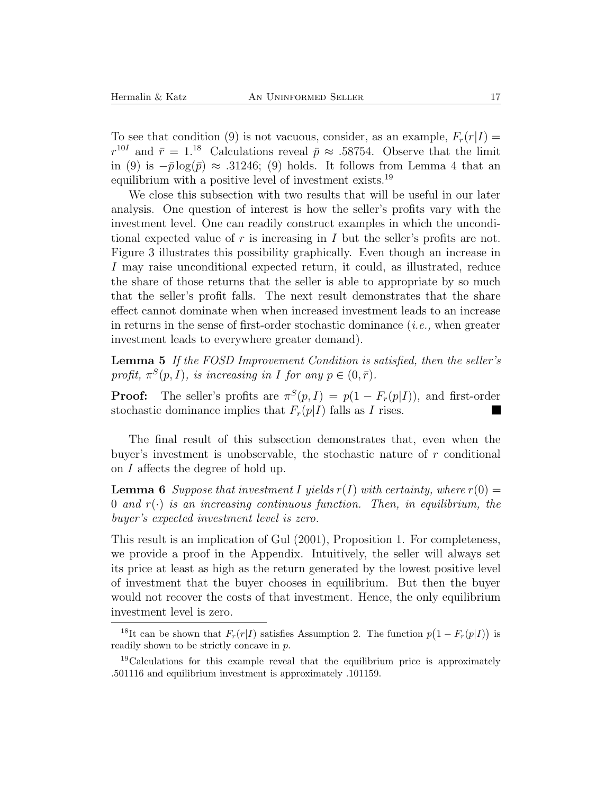To see that condition (9) is not vacuous, consider, as an example,  $F_r(r|I)$  =  $r^{10I}$  and  $\bar{r} = 1^{18}$  Calculations reveal  $\bar{p} \approx .58754$ . Observe that the limit in (9) is  $-\bar{p}\log(\bar{p}) \approx .31246$ ; (9) holds. It follows from Lemma 4 that an equilibrium with a positive level of investment exists.<sup>19</sup>

We close this subsection with two results that will be useful in our later analysis. One question of interest is how the seller's profits vary with the investment level. One can readily construct examples in which the unconditional expected value of r is increasing in I but the seller's profits are not. Figure 3 illustrates this possibility graphically. Even though an increase in I may raise unconditional expected return, it could, as illustrated, reduce the share of those returns that the seller is able to appropriate by so much that the seller's profit falls. The next result demonstrates that the share effect cannot dominate when when increased investment leads to an increase in returns in the sense of first-order stochastic dominance (*i.e.,* when greater investment leads to everywhere greater demand).

**Lemma 5** *If the FOSD Improvement Condition is satisfied, then the seller's profit,*  $\pi^{S}(p, I)$ *, is increasing in I for any*  $p \in (0, \bar{r})$ *.* 

**Proof:** The seller's profits are  $\pi^{S}(p, I) = p(1 - F_r(p|I))$ , and first-order stochastic dominance implies that  $F_r(p|I)$  falls as I rises.

The final result of this subsection demonstrates that, even when the buyer's investment is unobservable, the stochastic nature of r conditional on I affects the degree of hold up.

**Lemma 6** Suppose that investment I yields  $r(I)$  with certainty, where  $r(0) =$ 0 and  $r(\cdot)$  is an increasing continuous function. Then, in equilibrium, the *buyer's expected investment level is zero.*

This result is an implication of Gul (2001), Proposition 1. For completeness, we provide a proof in the Appendix. Intuitively, the seller will always set its price at least as high as the return generated by the lowest positive level of investment that the buyer chooses in equilibrium. But then the buyer would not recover the costs of that investment. Hence, the only equilibrium investment level is zero.

<sup>&</sup>lt;sup>18</sup>It can be shown that  $F_r(r|I)$  satisfies Assumption 2. The function  $p(1 - F_r(p|I))$  is readily shown to be strictly concave in p.

<sup>19</sup>Calculations for this example reveal that the equilibrium price is approximately .501116 and equilibrium investment is approximately .101159.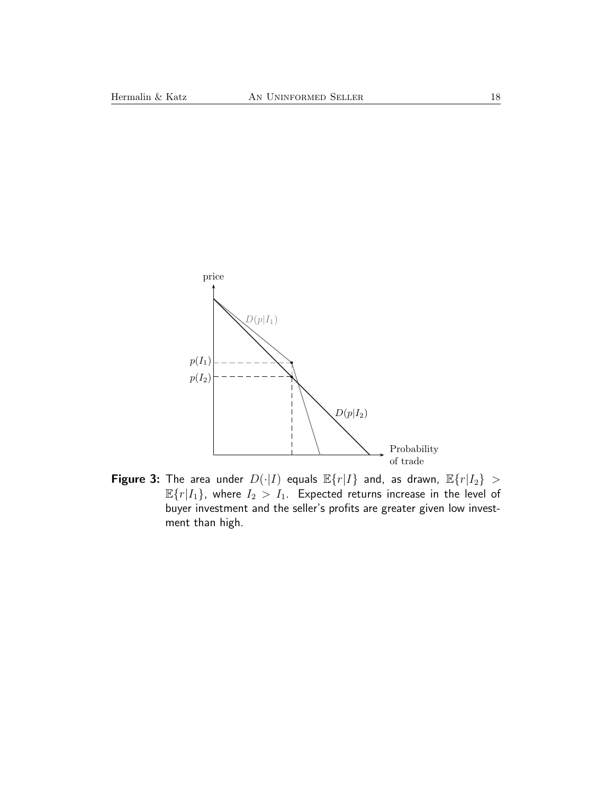

**Figure 3:** The area under  $D(\cdot|I)$  equals  $\mathbb{E}\{r|I\}$  and, as drawn,  $\mathbb{E}\{r|I_2\} >$  $\mathbb{E}\{r|I_1\}$ , where  $I_2 > I_1$ . Expected returns increase in the level of buyer investment and the seller's profits are greater given low investment than high.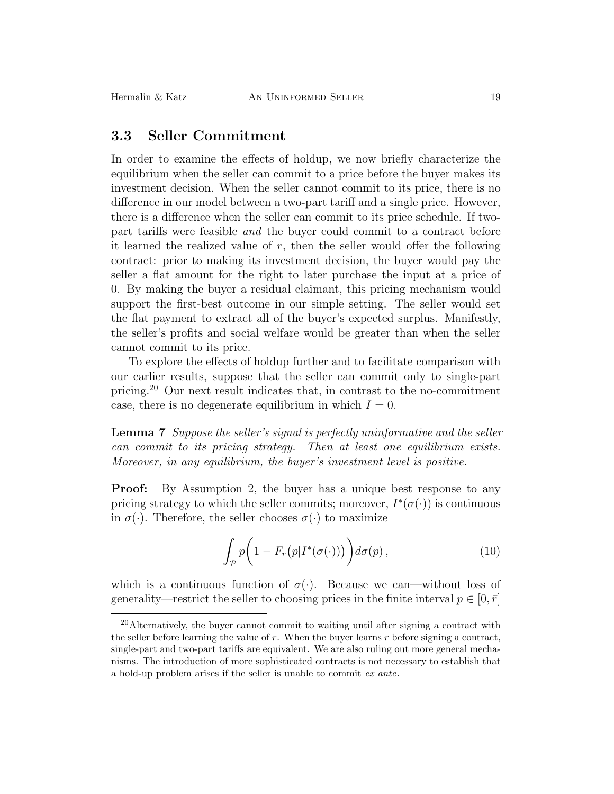#### **3.3 Seller Commitment**

In order to examine the effects of holdup, we now briefly characterize the equilibrium when the seller can commit to a price before the buyer makes its investment decision. When the seller cannot commit to its price, there is no difference in our model between a two-part tariff and a single price. However, there is a difference when the seller can commit to its price schedule. If twopart tariffs were feasible *and* the buyer could commit to a contract before it learned the realized value of  $r$ , then the seller would offer the following contract: prior to making its investment decision, the buyer would pay the seller a flat amount for the right to later purchase the input at a price of 0. By making the buyer a residual claimant, this pricing mechanism would support the first-best outcome in our simple setting. The seller would set the flat payment to extract all of the buyer's expected surplus. Manifestly, the seller's profits and social welfare would be greater than when the seller cannot commit to its price.

To explore the effects of holdup further and to facilitate comparison with our earlier results, suppose that the seller can commit only to single-part pricing.<sup>20</sup> Our next result indicates that, in contrast to the no-commitment case, there is no degenerate equilibrium in which  $I = 0$ .

**Lemma 7** *Suppose the seller's signal is perfectly uninformative and the seller can commit to its pricing strategy. Then at least one equilibrium exists. Moreover, in any equilibrium, the buyer's investment level is positive.*

**Proof:** By Assumption 2, the buyer has a unique best response to any pricing strategy to which the seller commits; moreover,  $I^*(\sigma(\cdot))$  is continuous in  $\sigma(\cdot)$ . Therefore, the seller chooses  $\sigma(\cdot)$  to maximize

$$
\int_{\mathcal{P}} p\bigg(1 - F_r\big(p|I^*(\sigma(\cdot))\big)\bigg)d\sigma(p)\,,\tag{10}
$$

which is a continuous function of  $\sigma(\cdot)$ . Because we can—without loss of generality—restrict the seller to choosing prices in the finite interval  $p \in [0, \bar{r}]$ 

<sup>&</sup>lt;sup>20</sup>Alternatively, the buyer cannot commit to waiting until after signing a contract with the seller before learning the value of  $r$ . When the buyer learns  $r$  before signing a contract, single-part and two-part tariffs are equivalent. We are also ruling out more general mechanisms. The introduction of more sophisticated contracts is not necessary to establish that a hold-up problem arises if the seller is unable to commit *ex ante*.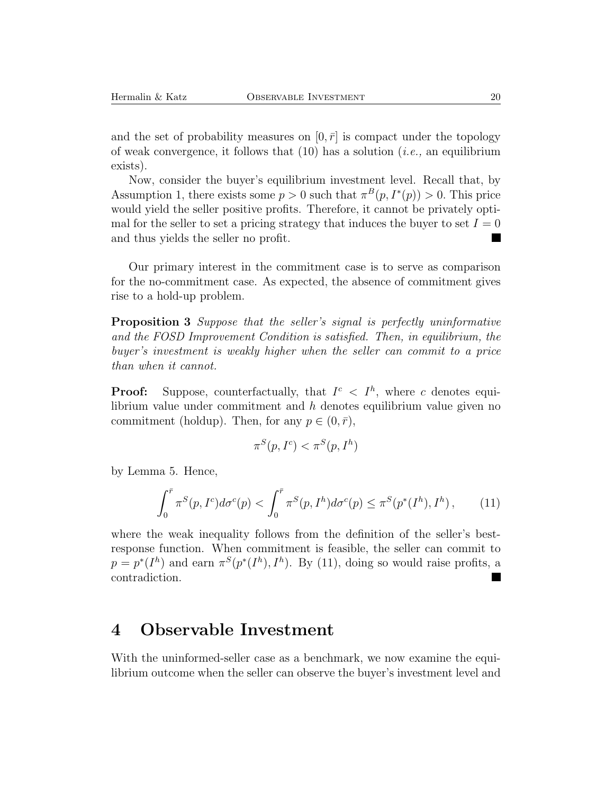and the set of probability measures on  $[0, \bar{r}]$  is compact under the topology of weak convergence, it follows that (10) has a solution (*i.e.,* an equilibrium exists).

Now, consider the buyer's equilibrium investment level. Recall that, by Assumption 1, there exists some  $p > 0$  such that  $\pi^{B}(p, I^{*}(p)) > 0$ . This price would yield the seller positive profits. Therefore, it cannot be privately optimal for the seller to set a pricing strategy that induces the buyer to set  $I = 0$ and thus yields the seller no profit.

Our primary interest in the commitment case is to serve as comparison for the no-commitment case. As expected, the absence of commitment gives rise to a hold-up problem.

**Proposition 3** *Suppose that the seller's signal is perfectly uninformative and the FOSD Improvement Condition is satisfied. Then, in equilibrium, the buyer's investment is weakly higher when the seller can commit to a price than when it cannot.*

**Proof:** Suppose, counterfactually, that  $I^c \nvert I^h$ , where c denotes equilibrium value under commitment and h denotes equilibrium value given no commitment (holdup). Then, for any  $p \in (0, \bar{r})$ ,

$$
\pi^S(p, I^c) < \pi^S(p, I^h)
$$

by Lemma 5. Hence,

$$
\int_0^{\bar{r}} \pi^S(p, I^c) d\sigma^c(p) < \int_0^{\bar{r}} \pi^S(p, I^h) d\sigma^c(p) \le \pi^S(p^*(I^h), I^h) \,, \tag{11}
$$

where the weak inequality follows from the definition of the seller's bestresponse function. When commitment is feasible, the seller can commit to  $p = p^*(I^h)$  and earn  $\pi^S(p^*(I^h), I^h)$ . By (11), doing so would raise profits, a contradiction.

### **4 Observable Investment**

With the uninformed-seller case as a benchmark, we now examine the equilibrium outcome when the seller can observe the buyer's investment level and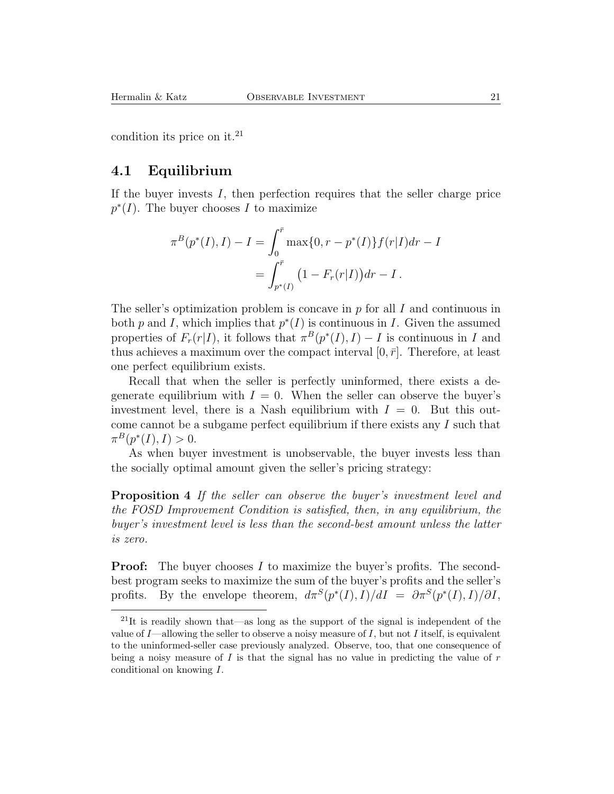condition its price on it.<sup>21</sup>

#### **4.1 Equilibrium**

If the buyer invests  $I$ , then perfection requires that the seller charge price  $p^*(I)$ . The buyer chooses I to maximize

$$
\pi^{B}(p^{*}(I), I) - I = \int_{0}^{\bar{r}} \max\{0, r - p^{*}(I)\} f(r|I) dr - I
$$
  
= 
$$
\int_{p^{*}(I)}^{\bar{r}} \left(1 - F_{r}(r|I)\right) dr - I.
$$

The seller's optimization problem is concave in  $p$  for all  $I$  and continuous in both p and I, which implies that  $p^*(I)$  is continuous in I. Given the assumed properties of  $F_r(r|I)$ , it follows that  $\pi^B(p^*(I), I) - I$  is continuous in I and thus achieves a maximum over the compact interval  $[0, \bar{r}]$ . Therefore, at least one perfect equilibrium exists.

Recall that when the seller is perfectly uninformed, there exists a degenerate equilibrium with  $I = 0$ . When the seller can observe the buyer's investment level, there is a Nash equilibrium with  $I = 0$ . But this outcome cannot be a subgame perfect equilibrium if there exists any I such that  $\pi^{B}(p^{*}(I), I) > 0.$ 

As when buyer investment is unobservable, the buyer invests less than the socially optimal amount given the seller's pricing strategy:

**Proposition 4** *If the seller can observe the buyer's investment level and the FOSD Improvement Condition is satisfied, then, in any equilibrium, the buyer's investment level is less than the second-best amount unless the latter is zero.*

**Proof:** The buyer chooses I to maximize the buyer's profits. The secondbest program seeks to maximize the sum of the buyer's profits and the seller's profits. By the envelope theorem,  $d\pi^{S}(p^{*}(I), I)/dI = \partial \pi^{S}(p^{*}(I), I)/\partial I$ ,

<sup>&</sup>lt;sup>21</sup>It is readily shown that—as long as the support of the signal is independent of the value of  $I$ —allowing the seller to observe a noisy measure of  $I$ , but not  $I$  itself, is equivalent to the uninformed-seller case previously analyzed. Observe, too, that one consequence of being a noisy measure of  $I$  is that the signal has no value in predicting the value of  $r$ conditional on knowing I.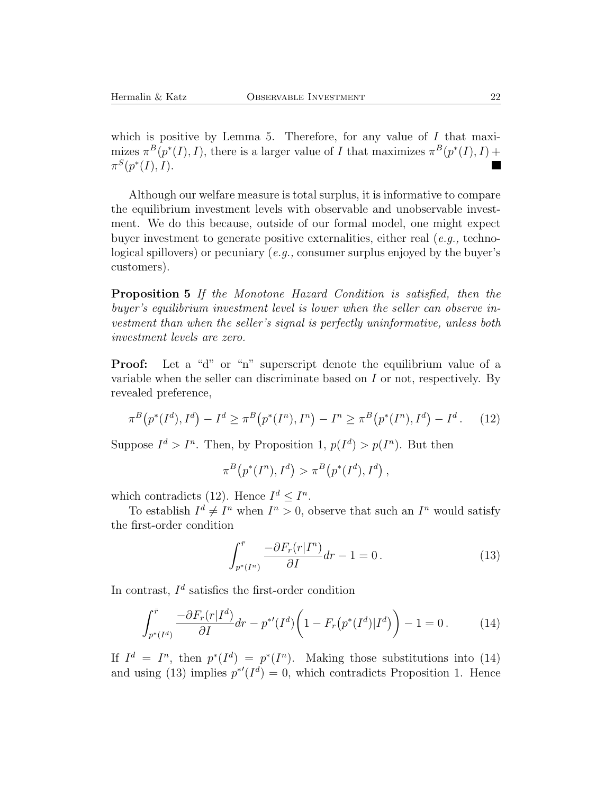which is positive by Lemma 5. Therefore, for any value of  $I$  that maximizes  $\pi^{B}(p^{*}(I), I)$ , there is a larger value of I that maximizes  $\pi^{B}(p^{*}(I), I)$  +  $\pi^{S}(p^{*}(I), I).$ ■

Although our welfare measure is total surplus, it is informative to compare the equilibrium investment levels with observable and unobservable investment. We do this because, outside of our formal model, one might expect buyer investment to generate positive externalities, either real (*e.g.,* technological spillovers) or pecuniary (*e.g.,* consumer surplus enjoyed by the buyer's customers).

**Proposition 5** *If the Monotone Hazard Condition is satisfied, then the buyer's equilibrium investment level is lower when the seller can observe investment than when the seller's signal is perfectly uninformative, unless both investment levels are zero.*

**Proof:** Let a "d" or "n" superscript denote the equilibrium value of a variable when the seller can discriminate based on  $I$  or not, respectively. By revealed preference,

$$
\pi^{B}(p^{*}(I^{d}), I^{d}) - I^{d} \ge \pi^{B}(p^{*}(I^{n}), I^{n}) - I^{n} \ge \pi^{B}(p^{*}(I^{n}), I^{d}) - I^{d}.
$$
 (12)

Suppose  $I^d > I^n$ . Then, by Proposition 1,  $p(I^d) > p(I^n)$ . But then

$$
\pi^B(p^*(I^n), I^d) > \pi^B(p^*(I^d), I^d),
$$

which contradicts (12). Hence  $I^d \leq I^n$ .

To establish  $I^d \neq I^n$  when  $I^n > 0$ , observe that such an  $I^n$  would satisfy the first-order condition

$$
\int_{p^*(I^n)}^{\bar{r}} \frac{-\partial F_r(r|I^n)}{\partial I} dr - 1 = 0.
$$
\n(13)

In contrast,  $I^d$  satisfies the first-order condition

$$
\int_{p^*(I^d)}^{\bar{r}} \frac{-\partial F_r(r|I^d)}{\partial I} dr - p^{*'}(I^d) \left(1 - F_r(p^*(I^d)|I^d)\right) - 1 = 0. \tag{14}
$$

If  $I^d = I^n$ , then  $p^*(I^d) = p^*(I^n)$ . Making those substitutions into (14) and using (13) implies  $p^{*'}(I^d) = 0$ , which contradicts Proposition 1. Hence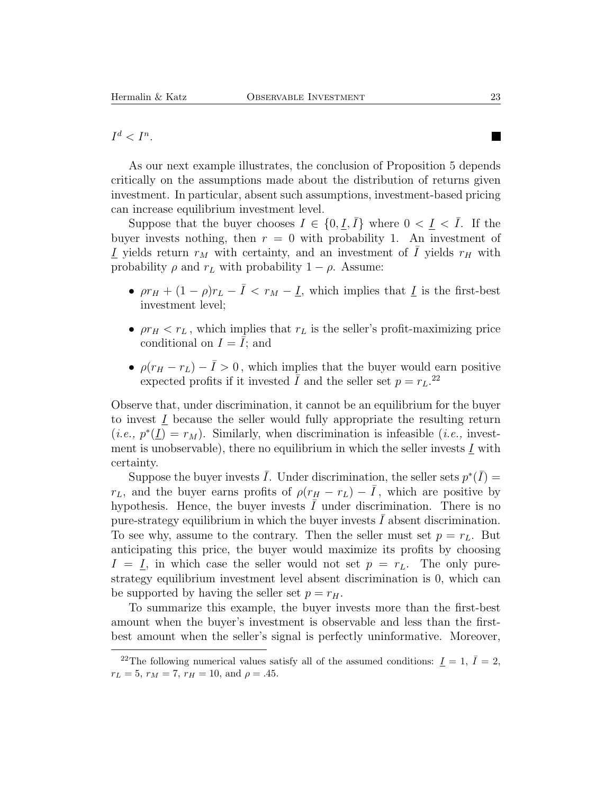$I^d < I^n$ .

As our next example illustrates, the conclusion of Proposition 5 depends critically on the assumptions made about the distribution of returns given investment. In particular, absent such assumptions, investment-based pricing can increase equilibrium investment level.

Suppose that the buyer chooses  $I \in \{0, \underline{I}, I\}$  where  $0 < \underline{I} < I$ . If the buyer invests nothing, then  $r = 0$  with probability 1. An investment of  $I$  yields return  $r_M$  with certainty, and an investment of  $I$  yields  $r_H$  with probability  $\rho$  and  $r_L$  with probability  $1 - \rho$ . Assume:

- $\rho r_H + (1 \rho) r_L \bar{I} < r_M \underline{I}$ , which implies that  $\underline{I}$  is the first-best investment level;
- $\rho r_H < r_L$ , which implies that  $r_L$  is the seller's profit-maximizing price conditional on  $I = \overline{I}$ ; and
- $\rho(r_H r_L) \bar{I} > 0$ , which implies that the buyer would earn positive expected profits if it invested  $\overline{I}$  and the seller set  $p = r_L$ .<sup>22</sup>

Observe that, under discrimination, it cannot be an equilibrium for the buyer to invest  $I$  because the seller would fully appropriate the resulting return  $(i.e., p^*(\underline{I}) = r_M)$ . Similarly, when discrimination is infeasible (*i.e.*, investment is unobservable), there no equilibrium in which the seller invests  $I$  with certainty.

Suppose the buyer invests  $\overline{I}$ . Under discrimination, the seller sets  $p^*(\overline{I}) =$  $r_L$ , and the buyer earns profits of  $\rho(r_H - r_L) - \bar{I}$ , which are positive by hypothesis. Hence, the buyer invests  $I$  under discrimination. There is no pure-strategy equilibrium in which the buyer invests  $I$  absent discrimination. To see why, assume to the contrary. Then the seller must set  $p = r<sub>L</sub>$ . But anticipating this price, the buyer would maximize its profits by choosing  $I = I$ , in which case the seller would not set  $p = r<sub>L</sub>$ . The only purestrategy equilibrium investment level absent discrimination is 0, which can be supported by having the seller set  $p = r_H$ .

To summarize this example, the buyer invests more than the first-best amount when the buyer's investment is observable and less than the firstbest amount when the seller's signal is perfectly uninformative. Moreover,

 $\blacksquare$ 

<sup>&</sup>lt;sup>22</sup>The following numerical values satisfy all of the assumed conditions:  $\underline{I} = 1, \overline{I} = 2$ ,  $r_L = 5$ ,  $r_M = 7$ ,  $r_H = 10$ , and  $\rho = .45$ .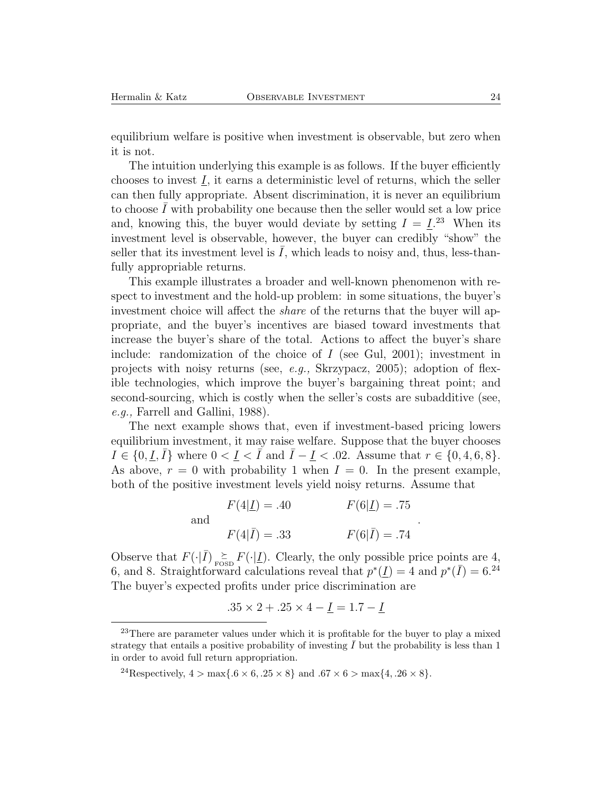equilibrium welfare is positive when investment is observable, but zero when it is not.

The intuition underlying this example is as follows. If the buyer efficiently chooses to invest  $I$ , it earns a deterministic level of returns, which the seller can then fully appropriate. Absent discrimination, it is never an equilibrium to choose  $\overline{I}$  with probability one because then the seller would set a low price and, knowing this, the buyer would deviate by setting  $I = \underline{I}^{23}$ . When its investment level is observable, however, the buyer can credibly "show" the seller that its investment level is  $I$ , which leads to noisy and, thus, less-thanfully appropriable returns.

This example illustrates a broader and well-known phenomenon with respect to investment and the hold-up problem: in some situations, the buyer's investment choice will affect the *share* of the returns that the buyer will appropriate, and the buyer's incentives are biased toward investments that increase the buyer's share of the total. Actions to affect the buyer's share include: randomization of the choice of  $I$  (see Gul, 2001); investment in projects with noisy returns (see, *e.g.,* Skrzypacz, 2005); adoption of flexible technologies, which improve the buyer's bargaining threat point; and second-sourcing, which is costly when the seller's costs are subadditive (see, *e.g.,* Farrell and Gallini, 1988).

The next example shows that, even if investment-based pricing lowers equilibrium investment, it may raise welfare. Suppose that the buyer chooses  $I \in \{0, \underline{I}, \overline{I}\}\$  where  $0 < \underline{I} < \overline{I}$  and  $\overline{I} - \underline{I} < .02$ . Assume that  $r \in \{0, 4, 6, 8\}$ . As above,  $r = 0$  with probability 1 when  $I = 0$ . In the present example, both of the positive investment levels yield noisy returns. Assume that

> and  $F(4|\underline{I}) = .40$   $F(6|\underline{I}) = .75$  $F(4|\bar{I}) = .33$   $F(6|\bar{I}) = .74$

.

Observe that  $F(\cdot|\bar{I}) \geq F(\cdot|\underline{I})$ . Clearly, the only possible price points are 4, 6, and 8. Straightforward calculations reveal that  $p^*(\underline{I}) = 4$  and  $p^*(\overline{I}) = 6^{24}$ The buyer's expected profits under price discrimination are

$$
.35 \times 2 + .25 \times 4 - \underline{I} = 1.7 - \underline{I}
$$

<sup>&</sup>lt;sup>23</sup>There are parameter values under which it is profitable for the buyer to play a mixed strategy that entails a positive probability of investing  $\overline{I}$  but the probability is less than 1 in order to avoid full return appropriation.

<sup>&</sup>lt;sup>24</sup>Respectively,  $4 > \max\{0.6 \times 6, 0.25 \times 8\}$  and  $0.67 \times 6 > \max\{4, 0.26 \times 8\}.$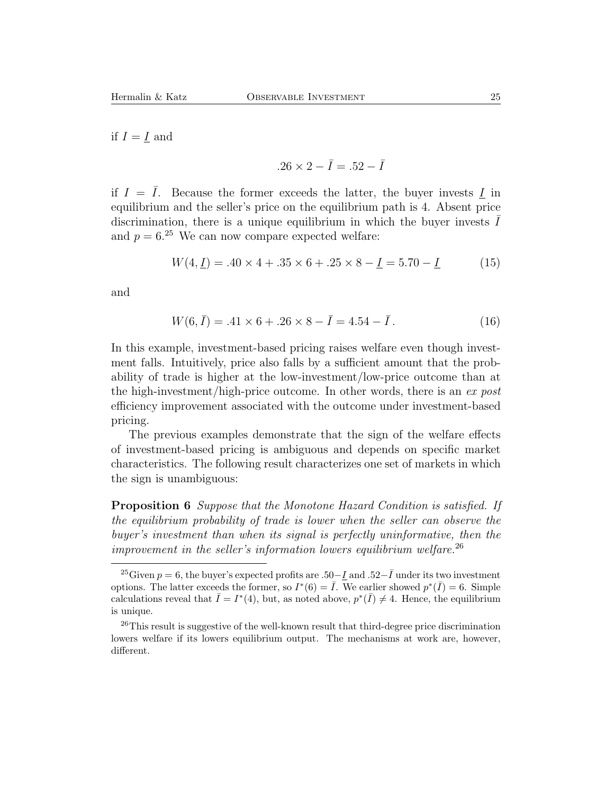if  $I = I$  and

$$
.26 \times 2 - \bar{I} = .52 - \bar{I}
$$

if  $I = \overline{I}$ . Because the former exceeds the latter, the buyer invests I in equilibrium and the seller's price on the equilibrium path is 4. Absent price discrimination, there is a unique equilibrium in which the buyer invests  $\bar{I}$ and  $p = 6^{25}$  We can now compare expected welfare:

$$
W(4, \underline{I}) = .40 \times 4 + .35 \times 6 + .25 \times 8 - \underline{I} = 5.70 - \underline{I}
$$
 (15)

and

$$
W(6,\bar{I}) = .41 \times 6 + .26 \times 8 - \bar{I} = 4.54 - \bar{I}.
$$
 (16)

In this example, investment-based pricing raises welfare even though investment falls. Intuitively, price also falls by a sufficient amount that the probability of trade is higher at the low-investment/low-price outcome than at the high-investment/high-price outcome. In other words, there is an *ex post* efficiency improvement associated with the outcome under investment-based pricing.

The previous examples demonstrate that the sign of the welfare effects of investment-based pricing is ambiguous and depends on specific market characteristics. The following result characterizes one set of markets in which the sign is unambiguous:

**Proposition 6** *Suppose that the Monotone Hazard Condition is satisfied. If the equilibrium probability of trade is lower when the seller can observe the buyer's investment than when its signal is perfectly uninformative, then the improvement in the seller's information lowers equilibrium welfare.*<sup>26</sup>

<sup>&</sup>lt;sup>25</sup>Given  $p = 6$ , the buyer's expected profits are .50−I and .52− $\overline{I}$  under its two investment options. The latter exceeds the former, so  $I^*(6) = \overline{I}$ . We earlier showed  $p^*(\overline{I}) = 6$ . Simple calculations reveal that  $\overline{I} = I^*(4)$ , but, as noted above,  $p^*(\overline{I}) \neq 4$ . Hence, the equilibrium is unique.

<sup>26</sup>This result is suggestive of the well-known result that third-degree price discrimination lowers welfare if its lowers equilibrium output. The mechanisms at work are, however, different.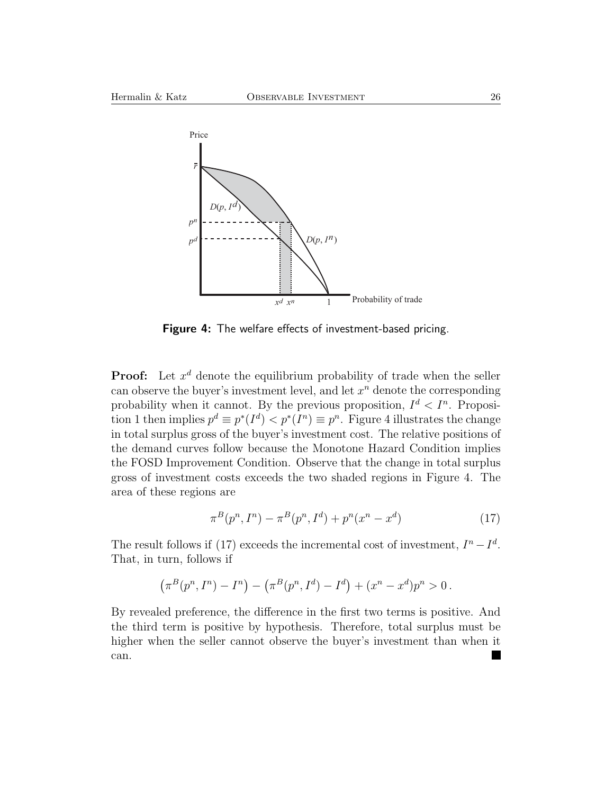

**Figure 4:** The welfare effects of investment-based pricing.

**Proof:** Let  $x^d$  denote the equilibrium probability of trade when the seller can observe the buyer's investment level, and let  $x^n$  denote the corresponding probability when it cannot. By the previous proposition,  $I^d < I^n$ . Proposition 1 then implies  $p^d \equiv p^*(I^d) < p^*(I^n) \equiv p^n$ . Figure 4 illustrates the change in total surplus gross of the buyer's investment cost. The relative positions of the demand curves follow because the Monotone Hazard Condition implies the FOSD Improvement Condition. Observe that the change in total surplus gross of investment costs exceeds the two shaded regions in Figure 4. The area of these regions are

$$
\pi^{B}(p^{n}, I^{n}) - \pi^{B}(p^{n}, I^{d}) + p^{n}(x^{n} - x^{d})
$$
\n(17)

The result follows if (17) exceeds the incremental cost of investment,  $I<sup>n</sup> - I<sup>d</sup>$ . That, in turn, follows if

$$
(\pi^B(p^n, I^n) - I^n) - (\pi^B(p^n, I^d) - I^d) + (x^n - x^d)p^n > 0.
$$

By revealed preference, the difference in the first two terms is positive. And the third term is positive by hypothesis. Therefore, total surplus must be higher when the seller cannot observe the buyer's investment than when it can.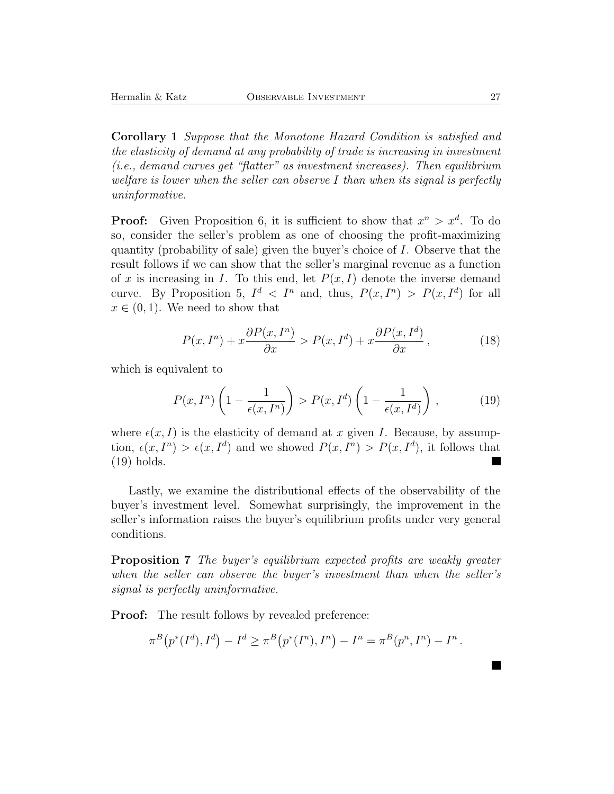**Corollary 1** *Suppose that the Monotone Hazard Condition is satisfied and the elasticity of demand at any probability of trade is increasing in investment (i.e., demand curves get "flatter" as investment increases). Then equilibrium welfare is lower when the seller can observe* I *than when its signal is perfectly uninformative.*

**Proof:** Given Proposition 6, it is sufficient to show that  $x^n > x^d$ . To do so, consider the seller's problem as one of choosing the profit-maximizing quantity (probability of sale) given the buyer's choice of  $I$ . Observe that the result follows if we can show that the seller's marginal revenue as a function of x is increasing in I. To this end, let  $P(x, I)$  denote the inverse demand curve. By Proposition 5,  $I^d < I^n$  and, thus,  $P(x, I^n) > P(x, I^d)$  for all  $x \in (0, 1)$ . We need to show that

$$
P(x, I^{n}) + x \frac{\partial P(x, I^{n})}{\partial x} > P(x, I^{d}) + x \frac{\partial P(x, I^{d})}{\partial x}, \qquad (18)
$$

which is equivalent to

$$
P(x, I^n) \left(1 - \frac{1}{\epsilon(x, I^n)}\right) > P(x, I^d) \left(1 - \frac{1}{\epsilon(x, I^d)}\right),\tag{19}
$$

where  $\epsilon(x, I)$  is the elasticity of demand at x given I. Because, by assumption,  $\epsilon(x, I^n) > \epsilon(x, I^d)$  and we showed  $P(x, I^n) > P(x, I^d)$ , it follows that (19) holds.  $\overline{\phantom{a}}$ 

Lastly, we examine the distributional effects of the observability of the buyer's investment level. Somewhat surprisingly, the improvement in the seller's information raises the buyer's equilibrium profits under very general conditions.

**Proposition 7** *The buyer's equilibrium expected profits are weakly greater when the seller can observe the buyer's investment than when the seller's signal is perfectly uninformative.*

**Proof:** The result follows by revealed preference:

$$
\pi^{B}(p^{*}(I^{d}), I^{d}) - I^{d} \geq \pi^{B}(p^{*}(I^{n}), I^{n}) - I^{n} = \pi^{B}(p^{n}, I^{n}) - I^{n}.
$$

 $\blacksquare$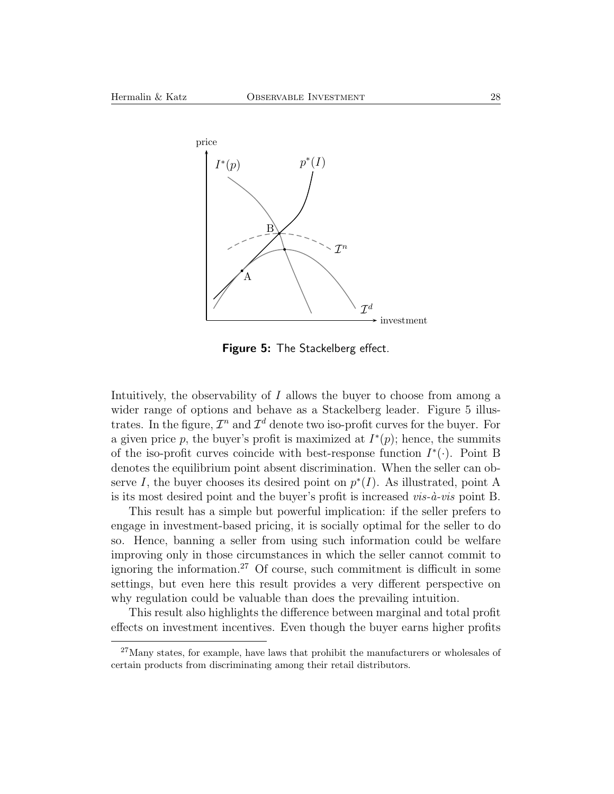

**Figure 5:** The Stackelberg effect.

Intuitively, the observability of  $I$  allows the buyer to choose from among a wider range of options and behave as a Stackelberg leader. Figure 5 illustrates. In the figure,  $\mathcal{I}^n$  and  $\mathcal{I}^d$  denote two iso-profit curves for the buyer. For a given price p, the buyer's profit is maximized at  $I^*(p)$ ; hence, the summits of the iso-profit curves coincide with best-response function  $I^*(\cdot)$ . Point B denotes the equilibrium point absent discrimination. When the seller can observe I, the buyer chooses its desired point on  $p^*(I)$ . As illustrated, point A is its most desired point and the buyer's profit is increased  $vis-\hat{a}-vis$  point B.

This result has a simple but powerful implication: if the seller prefers to engage in investment-based pricing, it is socially optimal for the seller to do so. Hence, banning a seller from using such information could be welfare improving only in those circumstances in which the seller cannot commit to ignoring the information.<sup>27</sup> Of course, such commitment is difficult in some settings, but even here this result provides a very different perspective on why regulation could be valuable than does the prevailing intuition.

This result also highlights the difference between marginal and total profit effects on investment incentives. Even though the buyer earns higher profits

<sup>&</sup>lt;sup>27</sup>Many states, for example, have laws that prohibit the manufacturers or wholesales of certain products from discriminating among their retail distributors.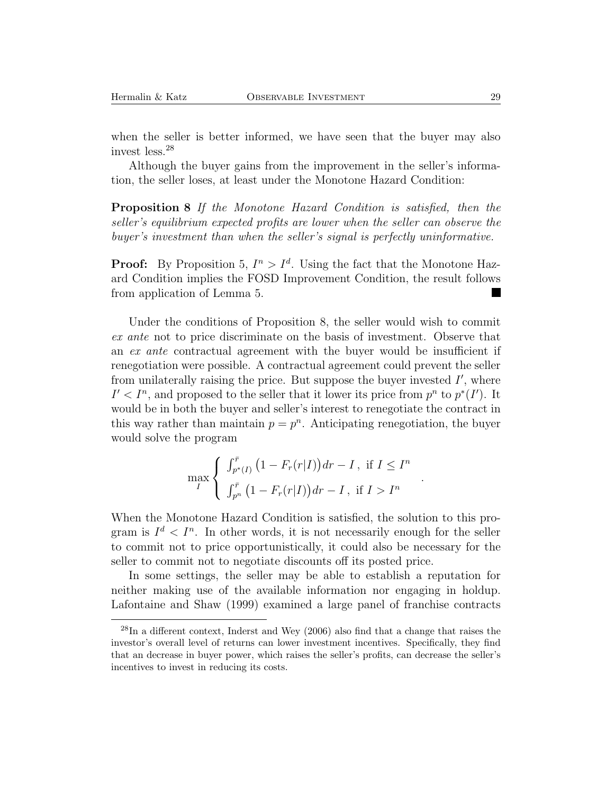when the seller is better informed, we have seen that the buyer may also invest less.<sup>28</sup>

Although the buyer gains from the improvement in the seller's information, the seller loses, at least under the Monotone Hazard Condition:

**Proposition 8** *If the Monotone Hazard Condition is satisfied, then the seller's equilibrium expected profits are lower when the seller can observe the buyer's investment than when the seller's signal is perfectly uninformative.*

**Proof:** By Proposition 5,  $I^n > I^d$ . Using the fact that the Monotone Hazard Condition implies the FOSD Improvement Condition, the result follows from application of Lemma 5.

Under the conditions of Proposition 8, the seller would wish to commit *ex ante* not to price discriminate on the basis of investment. Observe that an *ex ante* contractual agreement with the buyer would be insufficient if renegotiation were possible. A contractual agreement could prevent the seller from unilaterally raising the price. But suppose the buyer invested  $I'$ , where  $I' < I<sup>n</sup>$ , and proposed to the seller that it lower its price from  $p<sup>n</sup>$  to  $p<sup>*</sup>(I')$ . It would be in both the buyer and seller's interest to renegotiate the contract in this way rather than maintain  $p = p^n$ . Anticipating renegotiation, the buyer would solve the program

$$
\max_{I} \left\{ \begin{array}{l} \int_{p^*(I)}^{\bar{r}} \left(1 - F_r(r|I)\right) dr - I \,, \text{ if } I \le I^n\\ \int_{p^n}^{\bar{r}} \left(1 - F_r(r|I)\right) dr - I \,, \text{ if } I > I^n \end{array} \right.
$$

.

When the Monotone Hazard Condition is satisfied, the solution to this program is  $I^d < I^n$ . In other words, it is not necessarily enough for the seller to commit not to price opportunistically, it could also be necessary for the seller to commit not to negotiate discounts off its posted price.

In some settings, the seller may be able to establish a reputation for neither making use of the available information nor engaging in holdup. Lafontaine and Shaw (1999) examined a large panel of franchise contracts

 $^{28}$ In a different context, Inderst and Wey (2006) also find that a change that raises the investor's overall level of returns can lower investment incentives. Specifically, they find that an decrease in buyer power, which raises the seller's profits, can decrease the seller's incentives to invest in reducing its costs.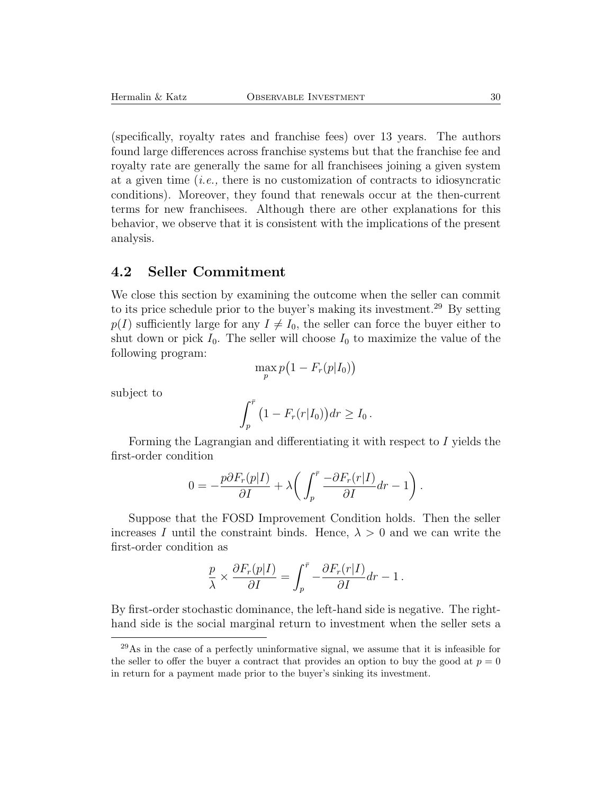(specifically, royalty rates and franchise fees) over 13 years. The authors found large differences across franchise systems but that the franchise fee and royalty rate are generally the same for all franchisees joining a given system at a given time (*i.e.,* there is no customization of contracts to idiosyncratic conditions). Moreover, they found that renewals occur at the then-current terms for new franchisees. Although there are other explanations for this behavior, we observe that it is consistent with the implications of the present analysis.

#### **4.2 Seller Commitment**

We close this section by examining the outcome when the seller can commit to its price schedule prior to the buyer's making its investment.<sup>29</sup> By setting  $p(I)$  sufficiently large for any  $I \neq I_0$ , the seller can force the buyer either to shut down or pick  $I_0$ . The seller will choose  $I_0$  to maximize the value of the following program:

$$
\max_{p} p\big(1 - F_r(p|I_0)\big)
$$

subject to

$$
\int_p^{\bar{r}} \left(1 - F_r(r|I_0)\right) dr \ge I_0.
$$

Forming the Lagrangian and differentiating it with respect to I yields the first-order condition

$$
0 = -\frac{p\partial F_r(p|I)}{\partial I} + \lambda \bigg( \int_p^{\bar{r}} \frac{-\partial F_r(r|I)}{\partial I} dr - 1 \bigg) .
$$

Suppose that the FOSD Improvement Condition holds. Then the seller increases I until the constraint binds. Hence,  $\lambda > 0$  and we can write the first-order condition as

$$
\frac{p}{\lambda}\times\frac{\partial F_r(p|I)}{\partial I}=\int_p^{\bar{r}}-\frac{\partial F_r(r|I)}{\partial I}dr-1\,.
$$

By first-order stochastic dominance, the left-hand side is negative. The righthand side is the social marginal return to investment when the seller sets a

 $^{29}$ As in the case of a perfectly uninformative signal, we assume that it is infeasible for the seller to offer the buyer a contract that provides an option to buy the good at  $p = 0$ in return for a payment made prior to the buyer's sinking its investment.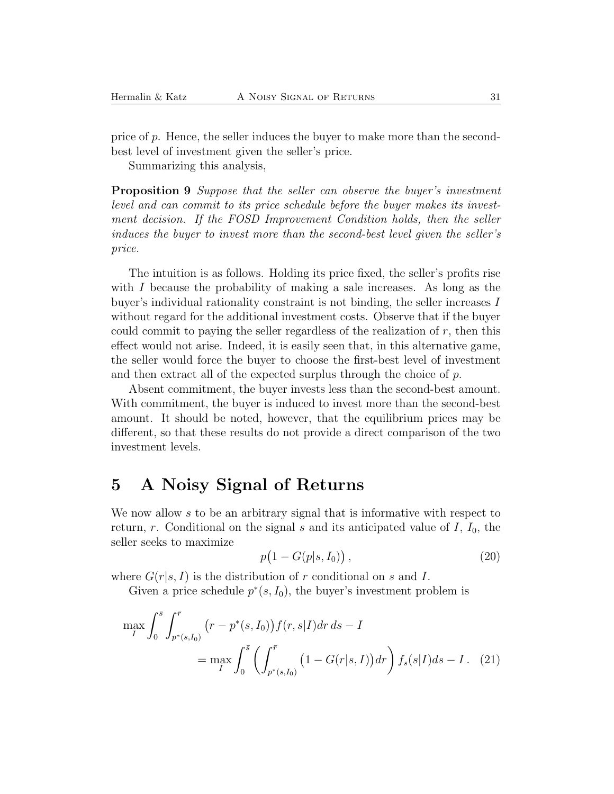price of  $p$ . Hence, the seller induces the buyer to make more than the secondbest level of investment given the seller's price.

Summarizing this analysis,

**Proposition 9** *Suppose that the seller can observe the buyer's investment level and can commit to its price schedule before the buyer makes its investment decision. If the FOSD Improvement Condition holds, then the seller induces the buyer to invest more than the second-best level given the seller's price.*

The intuition is as follows. Holding its price fixed, the seller's profits rise with  $I$  because the probability of making a sale increases. As long as the buyer's individual rationality constraint is not binding, the seller increases I without regard for the additional investment costs. Observe that if the buyer could commit to paying the seller regardless of the realization of  $r$ , then this effect would not arise. Indeed, it is easily seen that, in this alternative game, the seller would force the buyer to choose the first-best level of investment and then extract all of the expected surplus through the choice of  $p$ .

Absent commitment, the buyer invests less than the second-best amount. With commitment, the buyer is induced to invest more than the second-best amount. It should be noted, however, that the equilibrium prices may be different, so that these results do not provide a direct comparison of the two investment levels.

# **5 A Noisy Signal of Returns**

We now allow s to be an arbitrary signal that is informative with respect to return, r. Conditional on the signal s and its anticipated value of  $I$ ,  $I_0$ , the seller seeks to maximize

$$
p\big(1 - G(p|s, I_0)\big)\,,\tag{20}
$$

where  $G(r|s, I)$  is the distribution of r conditional on s and I.

Given a price schedule  $p^*(s, I_0)$ , the buyer's investment problem is

$$
\max_{I} \int_{0}^{\bar{s}} \int_{p^{*}(s,I_{0})}^{\bar{r}} (r - p^{*}(s,I_{0})) f(r,s|I) dr ds - I
$$
  
= 
$$
\max_{I} \int_{0}^{\bar{s}} \left( \int_{p^{*}(s,I_{0})}^{\bar{r}} (1 - G(r|s,I)) dr \right) f_{s}(s|I) ds - I.
$$
 (21)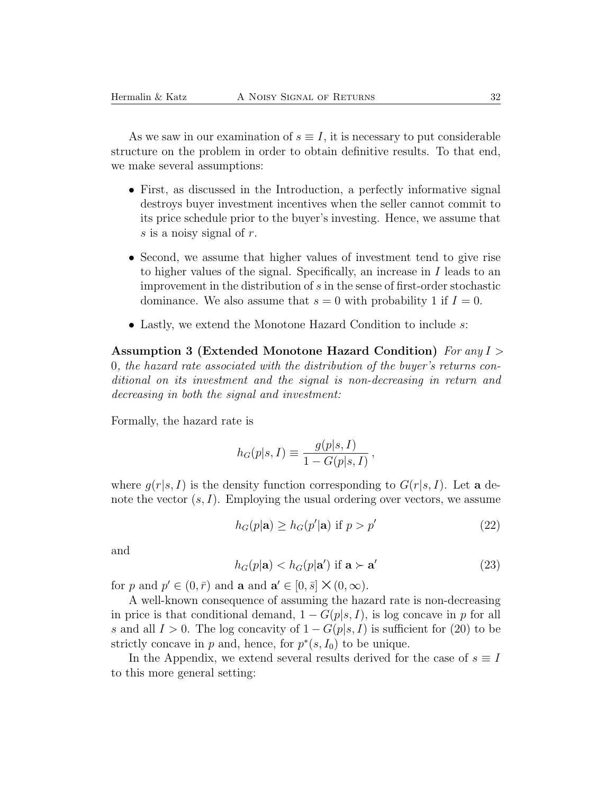As we saw in our examination of  $s \equiv I$ , it is necessary to put considerable structure on the problem in order to obtain definitive results. To that end, we make several assumptions:

- First, as discussed in the Introduction, a perfectly informative signal destroys buyer investment incentives when the seller cannot commit to its price schedule prior to the buyer's investing. Hence, we assume that s is a noisy signal of r.
- Second, we assume that higher values of investment tend to give rise to higher values of the signal. Specifically, an increase in I leads to an improvement in the distribution of  $s$  in the sense of first-order stochastic dominance. We also assume that  $s = 0$  with probability 1 if  $I = 0$ .
- Lastly, we extend the Monotone Hazard Condition to include s:

**Assumption 3 (Extended Monotone Hazard Condition)** *For any* I > 0*, the hazard rate associated with the distribution of the buyer's returns conditional on its investment and the signal is non-decreasing in return and decreasing in both the signal and investment:*

Formally, the hazard rate is

$$
h_G(p|s, I) \equiv \frac{g(p|s, I)}{1 - G(p|s, I)},
$$

where  $g(r|s, I)$  is the density function corresponding to  $G(r|s, I)$ . Let **a** denote the vector  $(s, I)$ . Employing the usual ordering over vectors, we assume

$$
h_G(p|\mathbf{a}) \ge h_G(p'|\mathbf{a}) \text{ if } p > p'
$$
\n<sup>(22)</sup>

and

$$
h_G(p|\mathbf{a}) < h_G(p|\mathbf{a}') \text{ if } \mathbf{a} \succ \mathbf{a}' \tag{23}
$$

for p and  $p' \in (0, \bar{r})$  and **a** and  $\mathbf{a}' \in [0, \bar{s}] \times (0, \infty)$ .

A well-known consequence of assuming the hazard rate is non-decreasing in price is that conditional demand,  $1 - G(p|s, I)$ , is log concave in p for all s and all  $I > 0$ . The log concavity of  $1 - G(p|s, I)$  is sufficient for (20) to be strictly concave in p and, hence, for  $p^*(s, I_0)$  to be unique.

In the Appendix, we extend several results derived for the case of  $s \equiv I$ to this more general setting: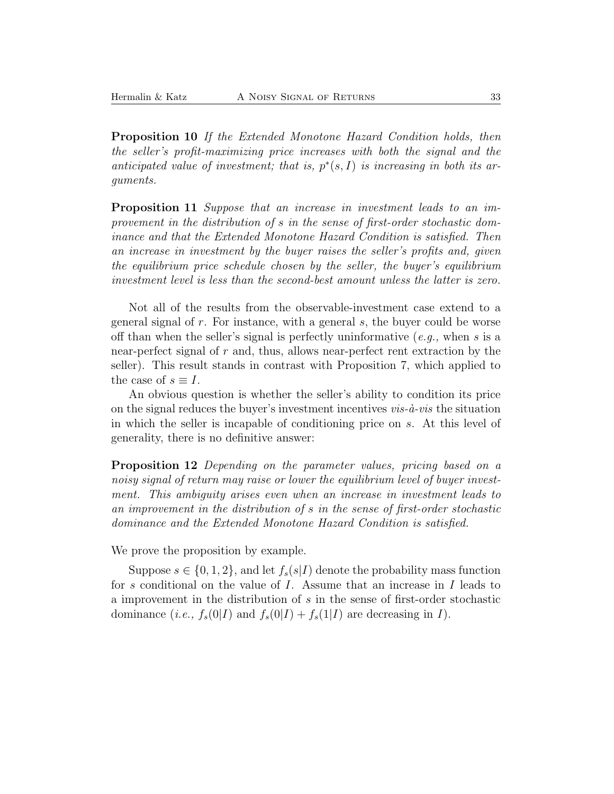**Proposition 10** *If the Extended Monotone Hazard Condition holds, then the seller's profit-maximizing price increases with both the signal and the anticipated value of investment; that is,* p∗(s, I) *is increasing in both its arguments.*

**Proposition 11** *Suppose that an increase in investment leads to an improvement in the distribution of* s *in the sense of first-order stochastic dominance and that the Extended Monotone Hazard Condition is satisfied. Then an increase in investment by the buyer raises the seller's profits and, given the equilibrium price schedule chosen by the seller, the buyer's equilibrium investment level is less than the second-best amount unless the latter is zero.*

Not all of the results from the observable-investment case extend to a general signal of  $r$ . For instance, with a general  $s$ , the buyer could be worse off than when the seller's signal is perfectly uninformative (*e.g.,* when s is a near-perfect signal of  $r$  and, thus, allows near-perfect rent extraction by the seller). This result stands in contrast with Proposition 7, which applied to the case of  $s \equiv I$ .

An obvious question is whether the seller's ability to condition its price on the signal reduces the buyer's investment incentives *vis-`a-vis* the situation in which the seller is incapable of conditioning price on s. At this level of generality, there is no definitive answer:

**Proposition 12** *Depending on the parameter values, pricing based on a noisy signal of return may raise or lower the equilibrium level of buyer investment. This ambiguity arises even when an increase in investment leads to an improvement in the distribution of* s *in the sense of first-order stochastic dominance and the Extended Monotone Hazard Condition is satisfied.*

We prove the proposition by example.

Suppose  $s \in \{0, 1, 2\}$ , and let  $f_s(s|I)$  denote the probability mass function for s conditional on the value of  $I$ . Assume that an increase in  $I$  leads to a improvement in the distribution of s in the sense of first-order stochastic dominance (*i.e.*,  $f_s(0|I)$  and  $f_s(0|I) + f_s(1|I)$  are decreasing in I).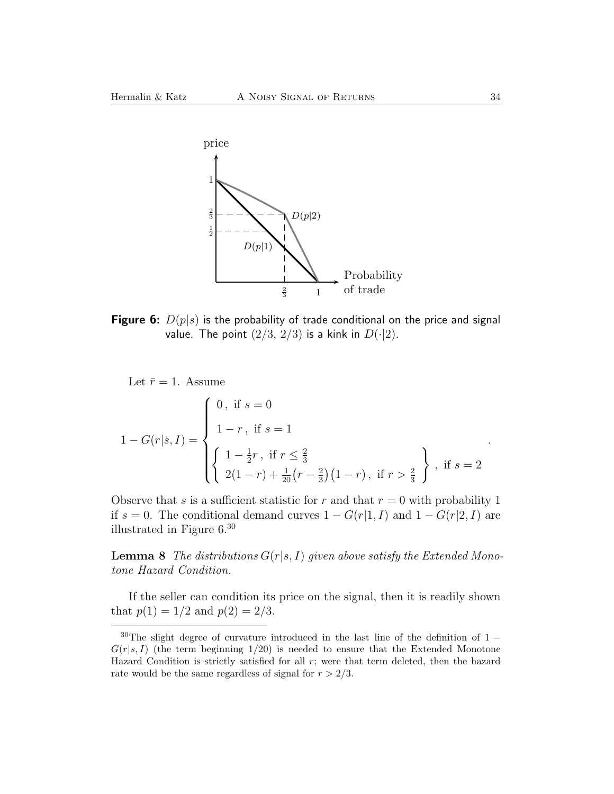

**Figure 6:**  $D(p|s)$  is the probability of trade conditional on the price and signal value. The point  $(2/3, 2/3)$  is a kink in  $D(\cdot|2)$ .

Let  $\bar{r} = 1$ . Assume

$$
1 - G(r|s, I) = \begin{cases} 0, \text{ if } s = 0 \\ 1 - r, \text{ if } s = 1 \\ \begin{cases} 1 - \frac{1}{2}r, \text{ if } r \le \frac{2}{3} \\ 2(1 - r) + \frac{1}{20}(r - \frac{2}{3})(1 - r), \text{ if } r > \frac{2}{3} \end{cases}, \text{ if } s = 2 \end{cases}
$$

Observe that s is a sufficient statistic for r and that  $r = 0$  with probability 1 if s = 0. The conditional demand curves  $1 - G(r|1, I)$  and  $1 - G(r|2, I)$  are illustrated in Figure 6.<sup>30</sup>

**Lemma 8** *The distributions*  $G(r|s, I)$  *given above satisfy the Extended Monotone Hazard Condition.*

If the seller can condition its price on the signal, then it is readily shown that  $p(1) = 1/2$  and  $p(2) = 2/3$ .

.

 $30$ The slight degree of curvature introduced in the last line of the definition of 1 −  $G(r|s, I)$  (the term beginning 1/20) is needed to ensure that the Extended Monotone Hazard Condition is strictly satisfied for all  $r$ ; were that term deleted, then the hazard rate would be the same regardless of signal for  $r > 2/3$ .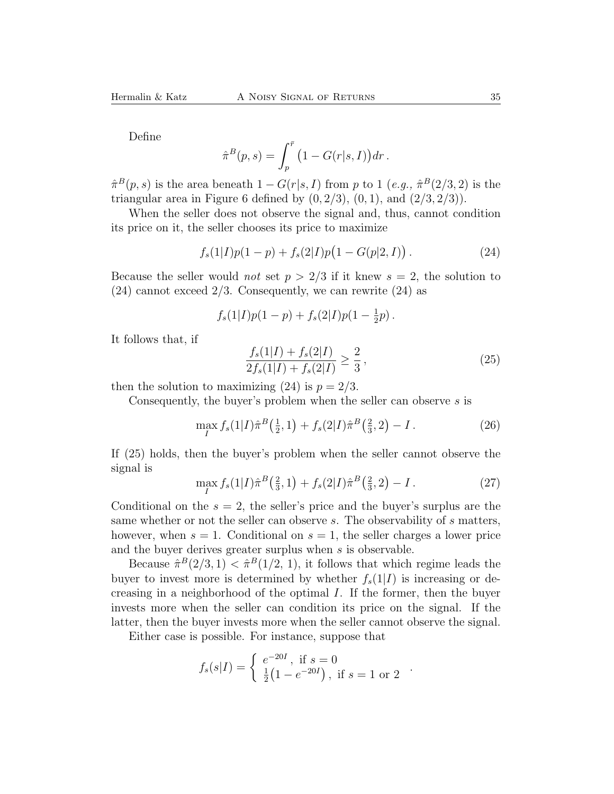Define

$$
\hat{\pi}^B(p,s) = \int_p^{\bar{r}} \left(1 - G(r|s,I)\right) dr.
$$

 $\hat{\pi}^B(p,s)$  is the area beneath  $1 - G(r|s, I)$  from p to 1 (*e.g.*,  $\hat{\pi}^B(2/3, 2)$ ) is the triangular area in Figure 6 defined by  $(0, 2/3)$ ,  $(0, 1)$ , and  $(2/3, 2/3)$ .

When the seller does not observe the signal and, thus, cannot condition its price on it, the seller chooses its price to maximize

$$
f_s(1|I)p(1-p) + f_s(2|I)p(1 - G(p|2, I)). \tag{24}
$$

Because the seller would *not* set  $p > 2/3$  if it knew  $s = 2$ , the solution to  $(24)$  cannot exceed  $2/3$ . Consequently, we can rewrite  $(24)$  as

$$
f_s(1|I)p(1-p) + f_s(2|I)p(1-\frac{1}{2}p).
$$

It follows that, if

$$
\frac{f_s(1|I) + f_s(2|I)}{2f_s(1|I) + f_s(2|I)} \ge \frac{2}{3},\tag{25}
$$

then the solution to maximizing (24) is  $p = 2/3$ .

Consequently, the buyer's problem when the seller can observe s is

$$
\max_{I} f_s(1|I)\hat{\pi}^{B}(\frac{1}{2}, 1) + f_s(2|I)\hat{\pi}^{B}(\frac{2}{3}, 2) - I.
$$
 (26)

If (25) holds, then the buyer's problem when the seller cannot observe the signal is

$$
\max_{I} f_s(1|I)\hat{\pi}^B\left(\frac{2}{3}, 1\right) + f_s(2|I)\hat{\pi}^B\left(\frac{2}{3}, 2\right) - I \,. \tag{27}
$$

Conditional on the  $s = 2$ , the seller's price and the buyer's surplus are the same whether or not the seller can observe s. The observability of s matters, however, when  $s = 1$ . Conditional on  $s = 1$ , the seller charges a lower price and the buyer derives greater surplus when s is observable.

Because  $\hat{\pi}^B(2/3, 1) < \hat{\pi}^B(1/2, 1)$ , it follows that which regime leads the buyer to invest more is determined by whether  $f_s(1|I)$  is increasing or decreasing in a neighborhood of the optimal I. If the former, then the buyer invests more when the seller can condition its price on the signal. If the latter, then the buyer invests more when the seller cannot observe the signal.

Either case is possible. For instance, suppose that

$$
f_s(s|I) = \begin{cases} e^{-20I}, & \text{if } s = 0\\ \frac{1}{2}(1 - e^{-20I}), & \text{if } s = 1 \text{ or } 2 \end{cases}
$$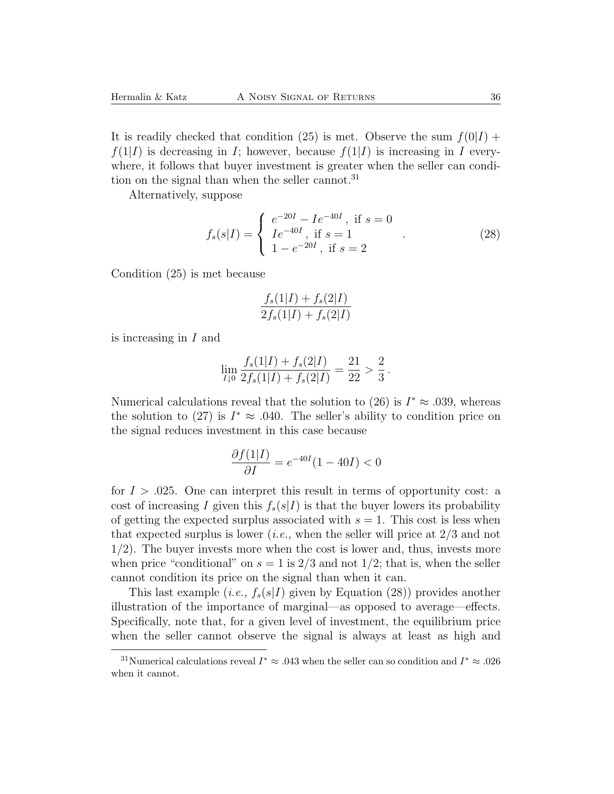It is readily checked that condition (25) is met. Observe the sum  $f(0|I)$  +  $f(1|I)$  is decreasing in I; however, because  $f(1|I)$  is increasing in I everywhere, it follows that buyer investment is greater when the seller can condition on the signal than when the seller cannot.<sup>31</sup>

Alternatively, suppose

$$
f_s(s|I) = \begin{cases} e^{-20I} - I e^{-40I}, & \text{if } s = 0\\ I e^{-40I}, & \text{if } s = 1\\ 1 - e^{-20I}, & \text{if } s = 2 \end{cases}
$$
 (28)

Condition (25) is met because

$$
\frac{f_s(1|I) + f_s(2|I)}{2f_s(1|I) + f_s(2|I)}
$$

is increasing in I and

$$
\lim_{I\downarrow 0}\frac{f_s(1|I)+f_s(2|I)}{2f_s(1|I)+f_s(2|I)}=\frac{21}{22}>\frac{2}{3}.
$$

Numerical calculations reveal that the solution to (26) is  $I^* \approx .039$ , whereas the solution to (27) is  $I^* \approx .040$ . The seller's ability to condition price on the signal reduces investment in this case because

$$
\frac{\partial f(1|I)}{\partial I} = e^{-40I}(1 - 40I) < 0
$$

for  $I > .025$ . One can interpret this result in terms of opportunity cost: a cost of increasing I given this  $f_s(s|I)$  is that the buyer lowers its probability of getting the expected surplus associated with  $s = 1$ . This cost is less when that expected surplus is lower (*i.e.,* when the seller will price at 2/3 and not 1/2). The buyer invests more when the cost is lower and, thus, invests more when price "conditional" on  $s = 1$  is  $2/3$  and not  $1/2$ ; that is, when the seller cannot condition its price on the signal than when it can.

This last example (*i.e.*,  $f_s(s|I)$  given by Equation (28)) provides another illustration of the importance of marginal—as opposed to average—effects. Specifically, note that, for a given level of investment, the equilibrium price when the seller cannot observe the signal is always at least as high and

<sup>&</sup>lt;sup>31</sup>Numerical calculations reveal  $I^* \approx .043$  when the seller can so condition and  $I^* \approx .026$ when it cannot.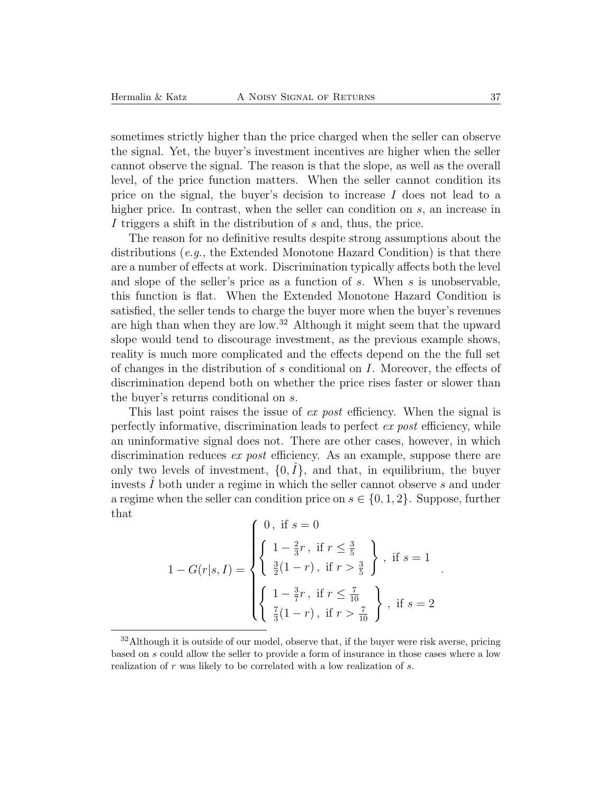sometimes strictly higher than the price charged when the seller can observe the signal. Yet, the buyer's investment incentives are higher when the seller cannot observe the signal. The reason is that the slope, as well as the overall level, of the price function matters. When the seller cannot condition its price on the signal, the buyer's decision to increase  $I$  does not lead to a higher price. In contrast, when the seller can condition on s, an increase in I triggers a shift in the distribution of s and, thus, the price.

The reason for no definitive results despite strong assumptions about the distributions (*e.g.,* the Extended Monotone Hazard Condition) is that there are a number of effects at work. Discrimination typically affects both the level and slope of the seller's price as a function of s. When s is unobservable, this function is flat. When the Extended Monotone Hazard Condition is satisfied, the seller tends to charge the buyer more when the buyer's revenues are high than when they are low.<sup>32</sup> Although it might seem that the upward slope would tend to discourage investment, as the previous example shows, reality is much more complicated and the effects depend on the the full set of changes in the distribution of s conditional on I. Moreover, the effects of discrimination depend both on whether the price rises faster or slower than the buyer's returns conditional on s.

This last point raises the issue of *ex post* efficiency. When the signal is perfectly informative, discrimination leads to perfect *ex post* efficiency, while an uninformative signal does not. There are other cases, however, in which discrimination reduces *ex post* efficiency. As an example, suppose there are only two levels of investment,  $\{0, I\}$ , and that, in equilibrium, the buyer invests  $I$  both under a regime in which the seller cannot observe  $s$  and under a regime when the seller can condition price on  $s \in \{0, 1, 2\}$ . Suppose, further that

$$
1 - G(r|s, I) = \begin{cases} 0, \text{ if } s = 0 \\ \begin{cases} 1 - \frac{2}{3}r, \text{ if } r \leq \frac{3}{5} \\ \frac{3}{2}(1 - r), \text{ if } r > \frac{3}{5} \end{cases}, \text{ if } s = 1 \\ \begin{cases} 1 - \frac{3}{7}r, \text{ if } r \leq \frac{7}{10} \\ \frac{7}{3}(1 - r), \text{ if } r > \frac{7}{10} \end{cases}, \text{ if } s = 2 \end{cases}
$$

.

 $32$ Although it is outside of our model, observe that, if the buyer were risk averse, pricing based on s could allow the seller to provide a form of insurance in those cases where a low realization of r was likely to be correlated with a low realization of s.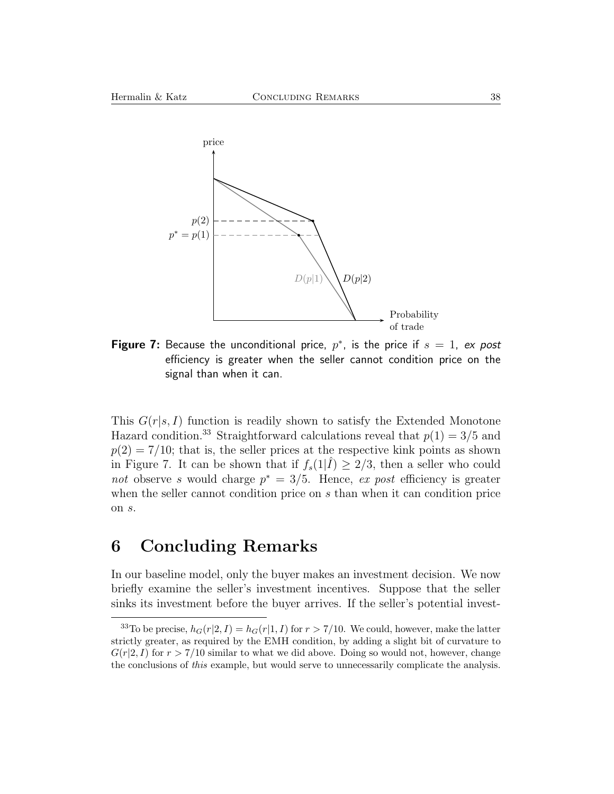

**Figure 7:** Because the unconditional price,  $p^*$ , is the price if  $s = 1$ , ex post efficiency is greater when the seller cannot condition price on the signal than when it can.

This  $G(r|s, I)$  function is readily shown to satisfy the Extended Monotone Hazard condition.<sup>33</sup> Straightforward calculations reveal that  $p(1) = 3/5$  and  $p(2) = 7/10$ ; that is, the seller prices at the respective kink points as shown in Figure 7. It can be shown that if  $f_s(1|\tilde{I}) \geq 2/3$ , then a seller who could *not* observe s would charge p<sup>∗</sup> = 3/5. Hence, *ex post* efficiency is greater when the seller cannot condition price on s than when it can condition price on s.

# **6 Concluding Remarks**

In our baseline model, only the buyer makes an investment decision. We now briefly examine the seller's investment incentives. Suppose that the seller sinks its investment before the buyer arrives. If the seller's potential invest-

<sup>&</sup>lt;sup>33</sup>To be precise,  $h_G(r|2, I) = h_G(r|1, I)$  for  $r > 7/10$ . We could, however, make the latter strictly greater, as required by the EMH condition, by adding a slight bit of curvature to  $G(r|2, I)$  for  $r > 7/10$  similar to what we did above. Doing so would not, however, change the conclusions of *this* example, but would serve to unnecessarily complicate the analysis.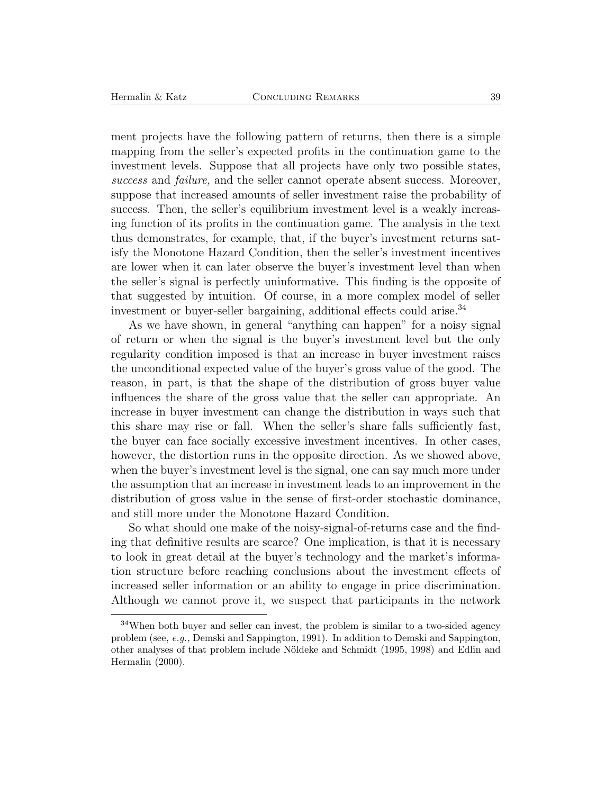ment projects have the following pattern of returns, then there is a simple mapping from the seller's expected profits in the continuation game to the investment levels. Suppose that all projects have only two possible states, *success* and *failure,* and the seller cannot operate absent success. Moreover, suppose that increased amounts of seller investment raise the probability of success. Then, the seller's equilibrium investment level is a weakly increasing function of its profits in the continuation game. The analysis in the text thus demonstrates, for example, that, if the buyer's investment returns satisfy the Monotone Hazard Condition, then the seller's investment incentives are lower when it can later observe the buyer's investment level than when the seller's signal is perfectly uninformative. This finding is the opposite of that suggested by intuition. Of course, in a more complex model of seller investment or buyer-seller bargaining, additional effects could arise.<sup>34</sup>

As we have shown, in general "anything can happen" for a noisy signal of return or when the signal is the buyer's investment level but the only regularity condition imposed is that an increase in buyer investment raises the unconditional expected value of the buyer's gross value of the good. The reason, in part, is that the shape of the distribution of gross buyer value influences the share of the gross value that the seller can appropriate. An increase in buyer investment can change the distribution in ways such that this share may rise or fall. When the seller's share falls sufficiently fast, the buyer can face socially excessive investment incentives. In other cases, however, the distortion runs in the opposite direction. As we showed above, when the buyer's investment level is the signal, one can say much more under the assumption that an increase in investment leads to an improvement in the distribution of gross value in the sense of first-order stochastic dominance, and still more under the Monotone Hazard Condition.

So what should one make of the noisy-signal-of-returns case and the finding that definitive results are scarce? One implication, is that it is necessary to look in great detail at the buyer's technology and the market's information structure before reaching conclusions about the investment effects of increased seller information or an ability to engage in price discrimination. Although we cannot prove it, we suspect that participants in the network

 $34$ When both buyer and seller can invest, the problem is similar to a two-sided agency problem (see, *e.g.,* Demski and Sappington, 1991). In addition to Demski and Sappington, other analyses of that problem include N¨oldeke and Schmidt (1995, 1998) and Edlin and Hermalin (2000).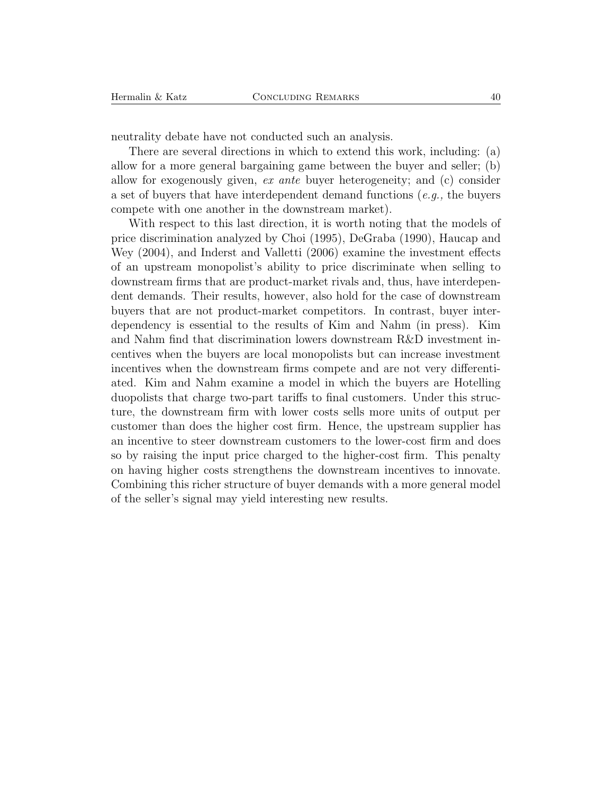neutrality debate have not conducted such an analysis.

There are several directions in which to extend this work, including: (a) allow for a more general bargaining game between the buyer and seller; (b) allow for exogenously given, *ex ante* buyer heterogeneity; and (c) consider a set of buyers that have interdependent demand functions (*e.g.,* the buyers compete with one another in the downstream market).

With respect to this last direction, it is worth noting that the models of price discrimination analyzed by Choi (1995), DeGraba (1990), Haucap and Wey (2004), and Inderst and Valletti (2006) examine the investment effects of an upstream monopolist's ability to price discriminate when selling to downstream firms that are product-market rivals and, thus, have interdependent demands. Their results, however, also hold for the case of downstream buyers that are not product-market competitors. In contrast, buyer interdependency is essential to the results of Kim and Nahm (in press). Kim and Nahm find that discrimination lowers downstream R&D investment incentives when the buyers are local monopolists but can increase investment incentives when the downstream firms compete and are not very differentiated. Kim and Nahm examine a model in which the buyers are Hotelling duopolists that charge two-part tariffs to final customers. Under this structure, the downstream firm with lower costs sells more units of output per customer than does the higher cost firm. Hence, the upstream supplier has an incentive to steer downstream customers to the lower-cost firm and does so by raising the input price charged to the higher-cost firm. This penalty on having higher costs strengthens the downstream incentives to innovate. Combining this richer structure of buyer demands with a more general model of the seller's signal may yield interesting new results.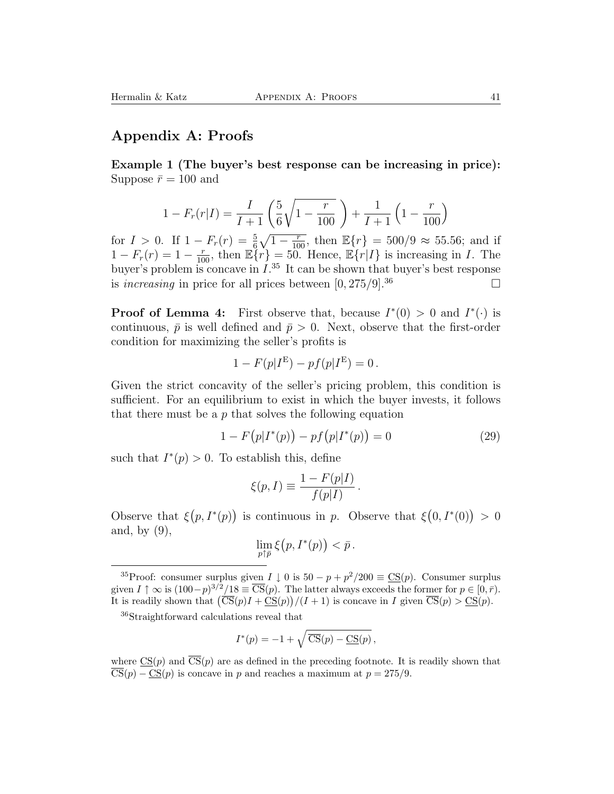### **Appendix A: Proofs**

**Example 1 (The buyer's best response can be increasing in price):** Suppose  $\bar{r} = 100$  and

$$
1 - F_r(r|I) = \frac{I}{I+1} \left( \frac{5}{6} \sqrt{1 - \frac{r}{100}} \right) + \frac{1}{I+1} \left( 1 - \frac{r}{100} \right)
$$

for  $I > 0$ . If  $1 - F_r(r) = \frac{5}{6}\sqrt{1 - \frac{r}{100}}$ , then  $\mathbb{E}\{r\} = 500/9 \approx 55.56$ ; and if  $1 - F_r(r) = 1 - \frac{r}{100}$ , then  $\mathbb{E}\left\{r\right\} = 50$ . Hence,  $\mathbb{E}\left\{r|I\right\}$  is increasing in I. The buyer's problem is concave in  $I^{35}$ . It can be shown that buyer's best response is *increasing* in price for all prices between  $[0, 275/9]$ .<sup>36</sup>

**Proof of Lemma 4:** First observe that, because  $I^*(0) > 0$  and  $I^*(\cdot)$  is continuous,  $\bar{p}$  is well defined and  $\bar{p} > 0$ . Next, observe that the first-order condition for maximizing the seller's profits is

$$
1 - F(p|I^{\mathcal{E}}) - pf(p|I^{\mathcal{E}}) = 0.
$$

Given the strict concavity of the seller's pricing problem, this condition is sufficient. For an equilibrium to exist in which the buyer invests, it follows that there must be a  $p$  that solves the following equation

$$
1 - F(p|I^*(p)) - pf(p|I^*(p)) = 0
$$
\n(29)

such that  $I^*(p) > 0$ . To establish this, define

$$
\xi(p,I) \equiv \frac{1 - F(p|I)}{f(p|I)}.
$$

Observe that  $\xi(p, I^*(p))$  is continuous in p. Observe that  $\xi(0, I^*(0)) > 0$ and, by (9),

$$
\lim_{p\uparrow \bar{p}} \xi\big(p, I^*(p)\big) < \bar{p} \, .
$$

<sup>36</sup>Straightforward calculations reveal that

$$
I^*(p) = -1 + \sqrt{\overline{\mathrm{CS}}(p) - \underline{\mathrm{CS}}(p)},
$$

where  $\text{CS}(p)$  and  $\overline{\text{CS}}(p)$  are as defined in the preceding footnote. It is readily shown that  $\overline{\text{CS}}(p) - \underline{\text{CS}}(p)$  is concave in p and reaches a maximum at  $p = 275/9$ .

<sup>&</sup>lt;sup>35</sup>Proof: consumer surplus given  $I \downarrow 0$  is  $50 - p + p^2/200 \equiv \text{CS}(p)$ . Consumer surplus given  $I \uparrow \infty$  is  $(100-p)^{3/2}/18 \equiv \overline{\text{CS}}(p)$ . The latter always exceeds the former for  $p \in [0, \bar{r})$ . It is readily shown that  $\overline{\text{CS}}(p)I + \overline{\text{CS}}(p)/(I+1)$  is concave in I given  $\overline{\text{CS}}(p) > \overline{\text{CS}}(p)$ .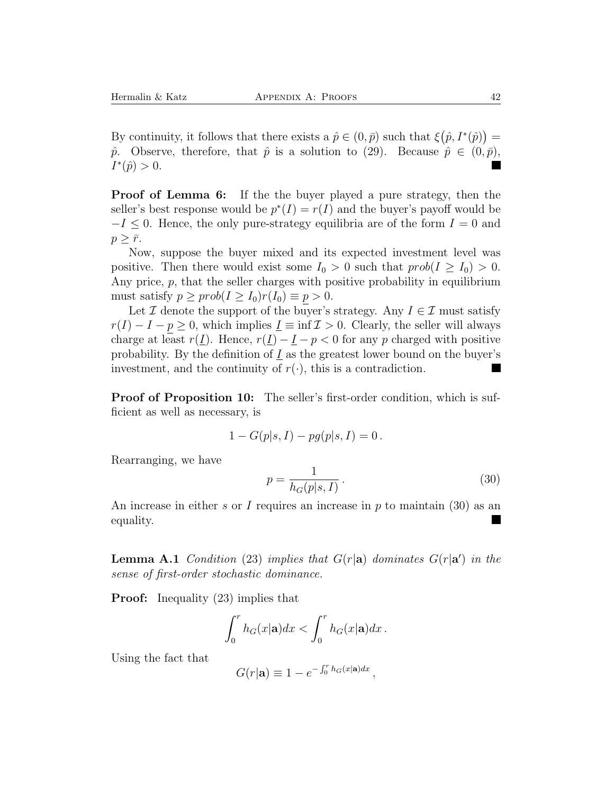By continuity, it follows that there exists a  $\hat{p} \in (0, \bar{p})$  such that  $\xi(\hat{p}, I^*(\hat{p})) =$  $\hat{p}$ . Observe, therefore, that  $\hat{p}$  is a solution to (29). Because  $\hat{p} \in (0,\bar{p})$ ,  $I^*(\hat{p}) > 0.$ ■

**Proof of Lemma 6:** If the the buyer played a pure strategy, then the seller's best response would be  $p^*(I) = r(I)$  and the buyer's payoff would be  $-I \leq 0$ . Hence, the only pure-strategy equilibria are of the form  $I = 0$  and  $p \geq \bar{r}$ .

Now, suppose the buyer mixed and its expected investment level was positive. Then there would exist some  $I_0 > 0$  such that  $prob(I \geq I_0) > 0$ . Any price, p, that the seller charges with positive probability in equilibrium must satisfy  $p \geq prob(I \geq I_0)r(I_0) \equiv p > 0$ .

Let  $\mathcal I$  denote the support of the buyer's strategy. Any  $I \in \mathcal I$  must satisfy  $r(I) - I - p \ge 0$ , which implies  $\underline{I} \equiv \inf \mathcal{I} > 0$ . Clearly, the seller will always charge at least  $r(I)$ . Hence,  $r(I) - I - p < 0$  for any p charged with positive probability. By the definition of  $I$  as the greatest lower bound on the buyer's investment, and the continuity of  $r(\cdot)$ , this is a contradiction.

**Proof of Proposition 10:** The seller's first-order condition, which is sufficient as well as necessary, is

$$
1 - G(p|s, I) - pg(p|s, I) = 0.
$$

Rearranging, we have

$$
p = \frac{1}{h_G(p|s, I)}.
$$
\n(30)

An increase in either s or I requires an increase in  $p$  to maintain (30) as an equality.

**Lemma A.1** *Condition* (23) *implies that*  $G(r|\mathbf{a})$  *dominates*  $G(r|\mathbf{a}')$  *in the sense of first-order stochastic dominance.*

**Proof:** Inequality (23) implies that

$$
\int_0^r h_G(x|\mathbf{a})dx < \int_0^r h_G(x|\mathbf{a})dx.
$$

Using the fact that

$$
G(r|\mathbf{a}) \equiv 1 - e^{-\int_0^r h_G(x|\mathbf{a})dx},
$$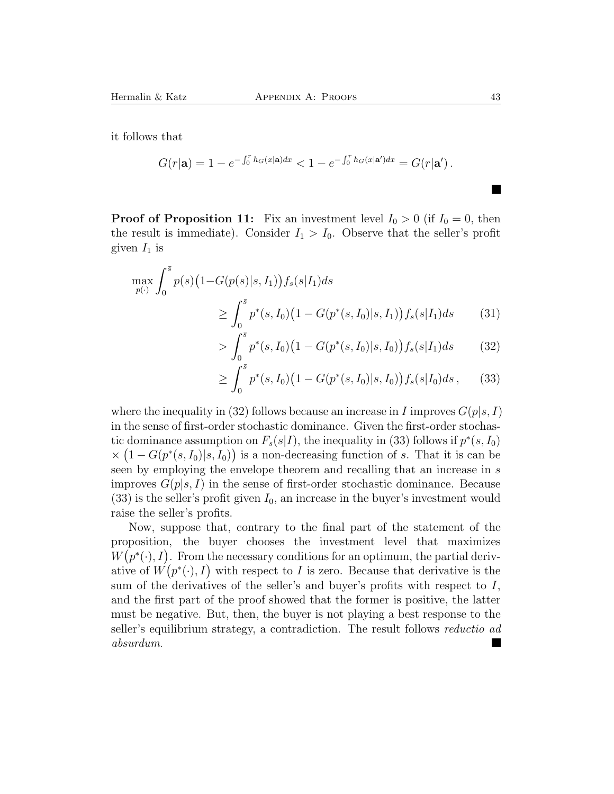it follows that

$$
G(r|\mathbf{a}) = 1 - e^{-\int_0^r h_G(x|\mathbf{a})dx} < 1 - e^{-\int_0^r h_G(x|\mathbf{a}')dx} = G(r|\mathbf{a}')\,.
$$

**Proof of Proposition 11:** Fix an investment level  $I_0 > 0$  (if  $I_0 = 0$ , then the result is immediate). Consider  $I_1 > I_0$ . Observe that the seller's profit given  $I_1$  is

$$
\max_{p(\cdot)} \int_0^{\bar{s}} p(s) \left( 1 - G(p(s)|s, I_1) \right) f_s(s|I_1) ds
$$
  
\n
$$
\geq \int_0^{\bar{s}} p^*(s, I_0) \left( 1 - G(p^*(s, I_0)|s, I_1) \right) f_s(s|I_1) ds \qquad (31)
$$

$$
> \int_0^s p^*(s, I_0) \big(1 - G(p^*(s, I_0)|s, I_0)\big) f_s(s|I_1) ds \tag{32}
$$

$$
\geq \int_0^{\bar{s}} p^*(s, I_0) \big(1 - G(p^*(s, I_0)|s, I_0)\big) f_s(s|I_0) ds \,, \qquad (33)
$$

where the inequality in (32) follows because an increase in I improves  $G(p|s, I)$ in the sense of first-order stochastic dominance. Given the first-order stochastic dominance assumption on  $F_s(s|I)$ , the inequality in (33) follows if  $p^*(s, I_0)$  $\times (1-G(p^*(s,I_0)|s,I_0))$  is a non-decreasing function of s. That it is can be seen by employing the envelope theorem and recalling that an increase in s improves  $G(p|s, I)$  in the sense of first-order stochastic dominance. Because  $(33)$  is the seller's profit given  $I_0$ , an increase in the buyer's investment would raise the seller's profits.

Now, suppose that, contrary to the final part of the statement of the proposition, the buyer chooses the investment level that maximizes  $W(p^*(\cdot), I)$ . From the necessary conditions for an optimum, the partial derivative of  $W(p^*(\cdot), I)$  with respect to I is zero. Because that derivative is the sum of the derivatives of the seller's and buyer's profits with respect to  $I$ , and the first part of the proof showed that the former is positive, the latter must be negative. But, then, the buyer is not playing a best response to the seller's equilibrium strategy, a contradiction. The result follows *reductio ad absurdum*.

 $\blacksquare$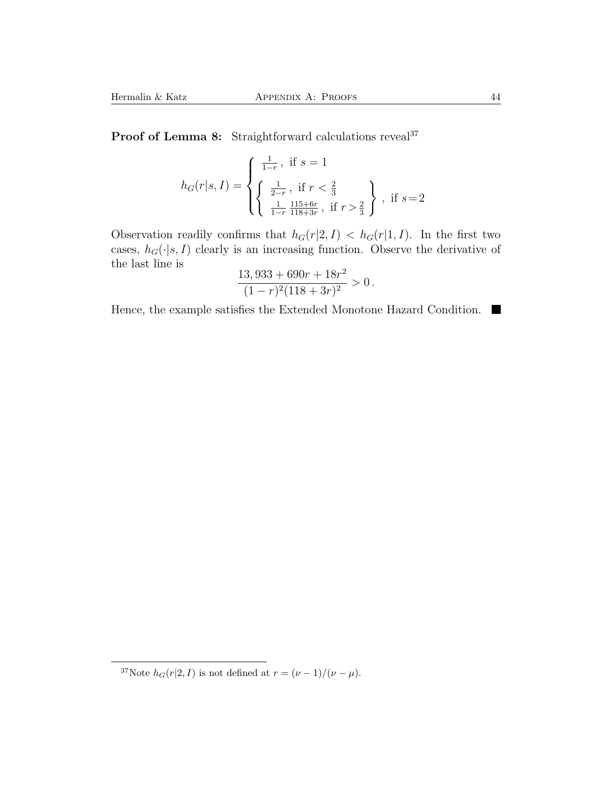Proof of Lemma 8: Straightforward calculations reveal<sup>37</sup>

$$
h_G(r|s,I)=\left\{\begin{aligned} &\frac{1}{1-r}\,,\text{ if }s=1\\ &\left\{\frac{1}{2-r}\,,\text{ if }r<\frac{2}{3}\\ &\frac{1}{1-r}\frac{115+6r}{118+3r}\,,\text{ if }r>\frac{2}{3}\end{aligned}\right\}\,,\text{ if }s=2\right.
$$

Observation readily confirms that  $h_G(r|2, I) < h_G(r|1, I)$ . In the first two cases,  $h_G(\cdot|s, I)$  clearly is an increasing function. Observe the derivative of the last line is

$$
\frac{13,933 + 690r + 18r^2}{(1 - r)^2(118 + 3r)^2} > 0.
$$

Hence, the example satisfies the Extended Monotone Hazard Condition.  $\blacksquare$ 

<sup>&</sup>lt;sup>37</sup>Note  $h_G(r|2, I)$  is not defined at  $r = (\nu - 1)/(\nu - \mu)$ .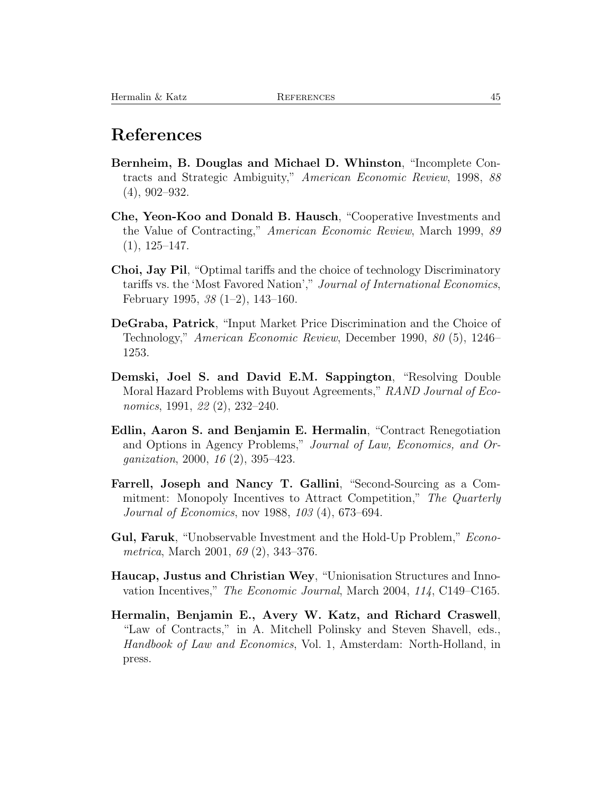### **References**

- **Bernheim, B. Douglas and Michael D. Whinston**, "Incomplete Contracts and Strategic Ambiguity," *American Economic Review*, 1998, *88* (4), 902–932.
- **Che, Yeon-Koo and Donald B. Hausch**, "Cooperative Investments and the Value of Contracting," *American Economic Review*, March 1999, *89*  $(1), 125-147.$
- **Choi, Jay Pil**, "Optimal tariffs and the choice of technology Discriminatory tariffs vs. the 'Most Favored Nation'," *Journal of International Economics*, February 1995, *38* (1–2), 143–160.
- **DeGraba, Patrick**, "Input Market Price Discrimination and the Choice of Technology," *American Economic Review*, December 1990, *80* (5), 1246– 1253.
- **Demski, Joel S. and David E.M. Sappington**, "Resolving Double Moral Hazard Problems with Buyout Agreements," *RAND Journal of Economics*, 1991, *22* (2), 232–240.
- **Edlin, Aaron S. and Benjamin E. Hermalin**, "Contract Renegotiation and Options in Agency Problems," *Journal of Law, Economics, and Organization*, 2000, *16* (2), 395–423.
- **Farrell, Joseph and Nancy T. Gallini**, "Second-Sourcing as a Commitment: Monopoly Incentives to Attract Competition," *The Quarterly Journal of Economics*, nov 1988, *103* (4), 673–694.
- **Gul, Faruk**, "Unobservable Investment and the Hold-Up Problem," *Econometrica*, March 2001, *69* (2), 343–376.
- **Haucap, Justus and Christian Wey**, "Unionisation Structures and Innovation Incentives," *The Economic Journal*, March 2004, *114*, C149–C165.
- **Hermalin, Benjamin E., Avery W. Katz, and Richard Craswell**, "Law of Contracts," in A. Mitchell Polinsky and Steven Shavell, eds., *Handbook of Law and Economics*, Vol. 1, Amsterdam: North-Holland, in press.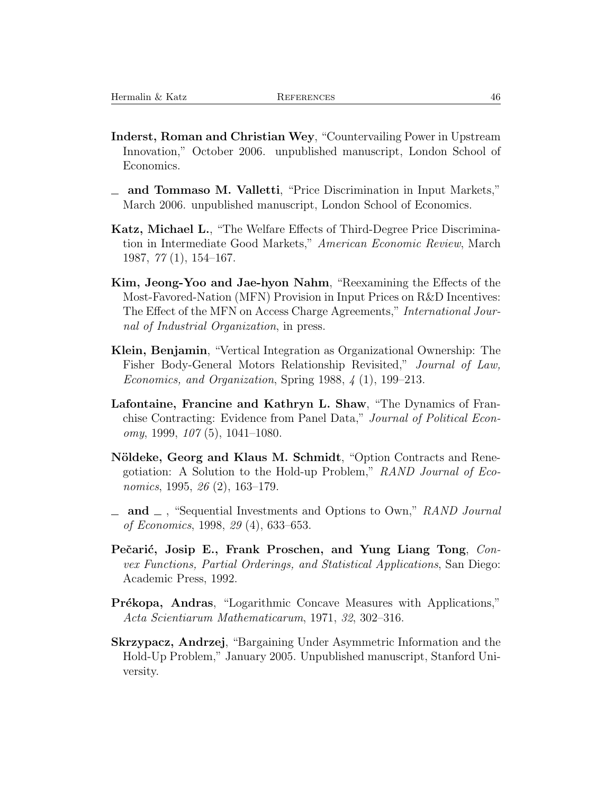- **Inderst, Roman and Christian Wey**, "Countervailing Power in Upstream Innovation," October 2006. unpublished manuscript, London School of Economics.
- **and Tommaso M. Valletti**, "Price Discrimination in Input Markets," March 2006. unpublished manuscript, London School of Economics.
- **Katz, Michael L.**, "The Welfare Effects of Third-Degree Price Discrimination in Intermediate Good Markets," *American Economic Review*, March 1987, *77* (1), 154–167.
- **Kim, Jeong-Yoo and Jae-hyon Nahm**, "Reexamining the Effects of the Most-Favored-Nation (MFN) Provision in Input Prices on R&D Incentives: The Effect of the MFN on Access Charge Agreements," *International Journal of Industrial Organization*, in press.
- **Klein, Benjamin**, "Vertical Integration as Organizational Ownership: The Fisher Body-General Motors Relationship Revisited," *Journal of Law, Economics, and Organization*, Spring 1988, *4* (1), 199–213.
- **Lafontaine, Francine and Kathryn L. Shaw**, "The Dynamics of Franchise Contracting: Evidence from Panel Data," *Journal of Political Economy*, 1999, *107* (5), 1041–1080.
- **Nöldeke, Georg and Klaus M. Schmidt, "Option Contracts and Rene**gotiation: A Solution to the Hold-up Problem," *RAND Journal of Economics*, 1995, *26* (2), 163–179.
- **and** , "Sequential Investments and Options to Own," *RAND Journal of Economics*, 1998, *29* (4), 633–653.
- Pečarić, Josip E., Frank Proschen, and Yung Liang Tong, *Convex Functions, Partial Orderings, and Statistical Applications*, San Diego: Academic Press, 1992.
- **Prékopa, Andras**, "Logarithmic Concave Measures with Applications," *Acta Scientiarum Mathematicarum*, 1971, *32*, 302–316.
- **Skrzypacz, Andrzej**, "Bargaining Under Asymmetric Information and the Hold-Up Problem," January 2005. Unpublished manuscript, Stanford University.